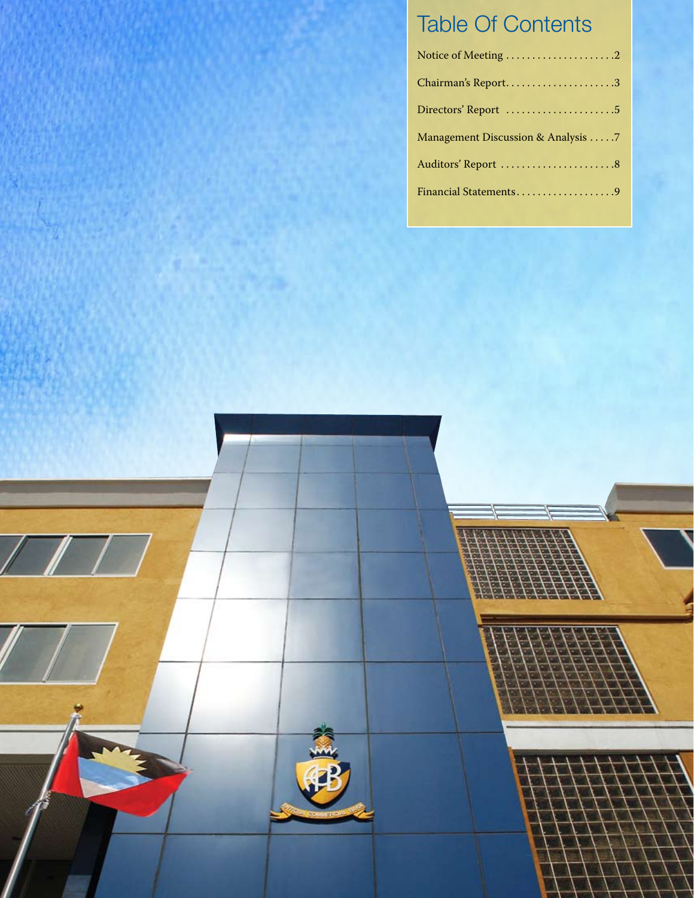# Table Of Contents

| Notice of Meeting 2                |  |
|------------------------------------|--|
| Chairman's Report3                 |  |
| Directors' Report 5                |  |
| Management Discussion & Analysis 7 |  |
| Auditors' Report 8                 |  |
| Financial Statements9              |  |
|                                    |  |

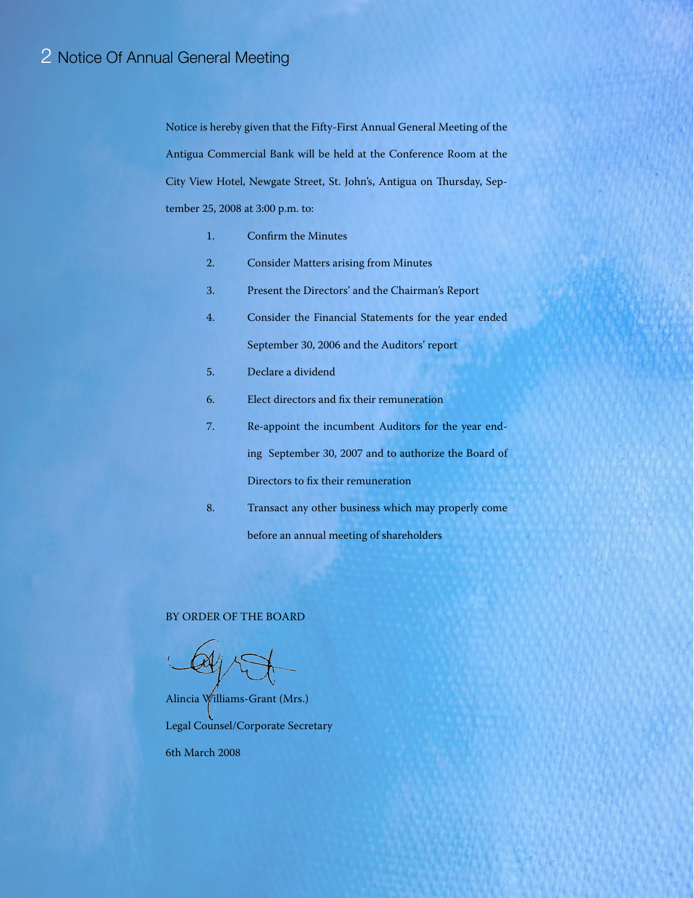Notice is hereby given that the Fifty-First Annual General Meeting of the Antigua Commercial Bank will be held at the Conference Room at the City View Hotel, Newgate Street, St. John's, Antigua on Thursday, September 25, 2008 at 3:00 p.m. to:

- 1. Confirm the Minutes
- 2. Consider Matters arising from Minutes
- 3. Present the Directors' and the Chairman's Report
- 4. Consider the Financial Statements for the year ended September 30, 2006 and the Auditors' report
- 5. Declare a dividend
- 6. Elect directors and fix their remuneration
- 7. Re-appoint the incumbent Auditors for the year ending September 30, 2007 and to authorize the Board of Directors to fix their remuneration
- 8. Transact any other business which may properly come before an annual meeting of shareholders

#### BY ORDER OF THE BOARD

Alincia Williams-Grant (Mrs.) Legal Counsel/Corporate Secretary

6th March 2008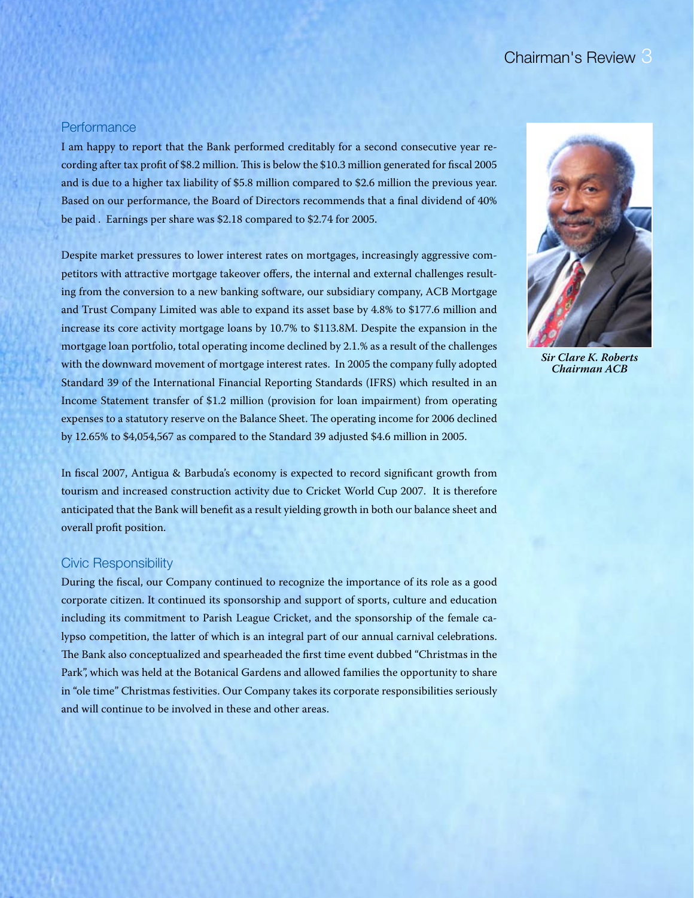# Chairman's Review 3

#### **Performance**

I am happy to report that the Bank performed creditably for a second consecutive year recording after tax profit of \$8.2 million. This is below the \$10.3 million generated for fiscal 2005 and is due to a higher tax liability of \$5.8 million compared to \$2.6 million the previous year. Based on our performance, the Board of Directors recommends that a final dividend of 40% be paid . Earnings per share was \$2.18 compared to \$2.74 for 2005.

Despite market pressures to lower interest rates on mortgages, increasingly aggressive competitors with attractive mortgage takeover offers, the internal and external challenges resulting from the conversion to a new banking software, our subsidiary company, ACB Mortgage and Trust Company Limited was able to expand its asset base by 4.8% to \$177.6 million and increase its core activity mortgage loans by 10.7% to \$113.8M. Despite the expansion in the mortgage loan portfolio, total operating income declined by 2.1.% as a result of the challenges with the downward movement of mortgage interest rates. In 2005 the company fully adopted Standard 39 of the International Financial Reporting Standards (IFRS) which resulted in an Income Statement transfer of \$1.2 million (provision for loan impairment) from operating expenses to a statutory reserve on the Balance Sheet. The operating income for 2006 declined by 12.65% to \$4,054,567 as compared to the Standard 39 adjusted \$4.6 million in 2005.

In fiscal 2007, Antigua & Barbuda's economy is expected to record significant growth from tourism and increased construction activity due to Cricket World Cup 2007. It is therefore anticipated that the Bank will benefit as a result yielding growth in both our balance sheet and overall profit position.

#### Civic Responsibility

During the fiscal, our Company continued to recognize the importance of its role as a good corporate citizen. It continued its sponsorship and support of sports, culture and education including its commitment to Parish League Cricket, and the sponsorship of the female calypso competition, the latter of which is an integral part of our annual carnival celebrations. The Bank also conceptualized and spearheaded the first time event dubbed "Christmas in the Park", which was held at the Botanical Gardens and allowed families the opportunity to share in "ole time" Christmas festivities. Our Company takes its corporate responsibilities seriously and will continue to be involved in these and other areas.



*Sir Clare K. Roberts Chairman ACB*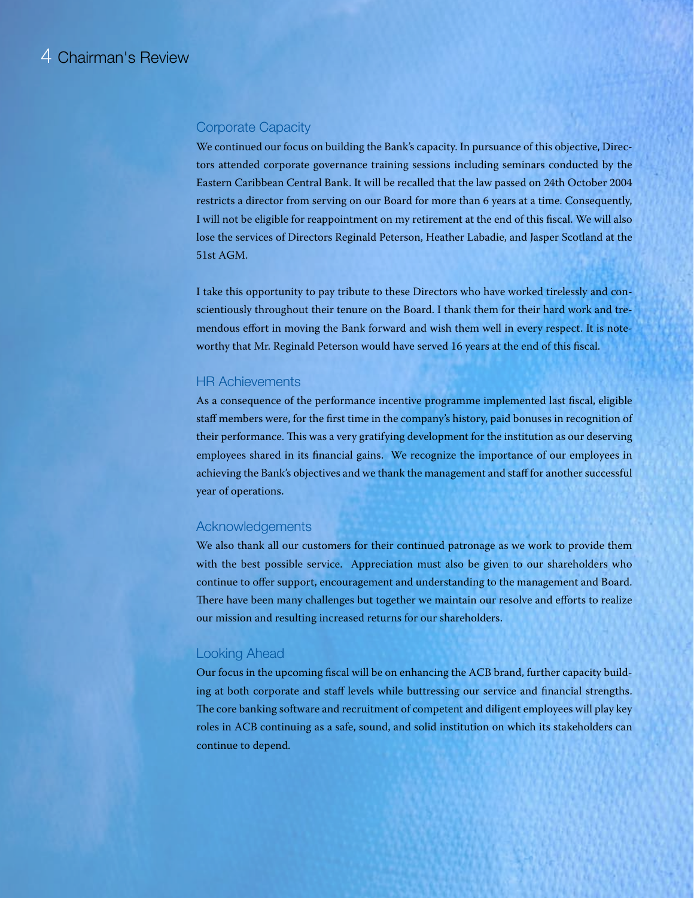#### Corporate Capacity

We continued our focus on building the Bank's capacity. In pursuance of this objective, Directors attended corporate governance training sessions including seminars conducted by the Eastern Caribbean Central Bank. It will be recalled that the law passed on 24th October 2004 restricts a director from serving on our Board for more than 6 years at a time. Consequently, I will not be eligible for reappointment on my retirement at the end of this fiscal. We will also lose the services of Directors Reginald Peterson, Heather Labadie, and Jasper Scotland at the 51st AGM.

I take this opportunity to pay tribute to these Directors who have worked tirelessly and conscientiously throughout their tenure on the Board. I thank them for their hard work and tremendous effort in moving the Bank forward and wish them well in every respect. It is noteworthy that Mr. Reginald Peterson would have served 16 years at the end of this fiscal.

#### HR Achievements

As a consequence of the performance incentive programme implemented last fiscal, eligible staff members were, for the first time in the company's history, paid bonuses in recognition of their performance. This was a very gratifying development for the institution as our deserving employees shared in its financial gains. We recognize the importance of our employees in achieving the Bank's objectives and we thank the management and staff for another successful year of operations.

#### Acknowledgements

We also thank all our customers for their continued patronage as we work to provide them with the best possible service. Appreciation must also be given to our shareholders who continue to offer support, encouragement and understanding to the management and Board. There have been many challenges but together we maintain our resolve and efforts to realize our mission and resulting increased returns for our shareholders.

#### Looking Ahead

Our focus in the upcoming fiscal will be on enhancing the ACB brand, further capacity building at both corporate and staff levels while buttressing our service and financial strengths. The core banking software and recruitment of competent and diligent employees will play key roles in ACB continuing as a safe, sound, and solid institution on which its stakeholders can continue to depend.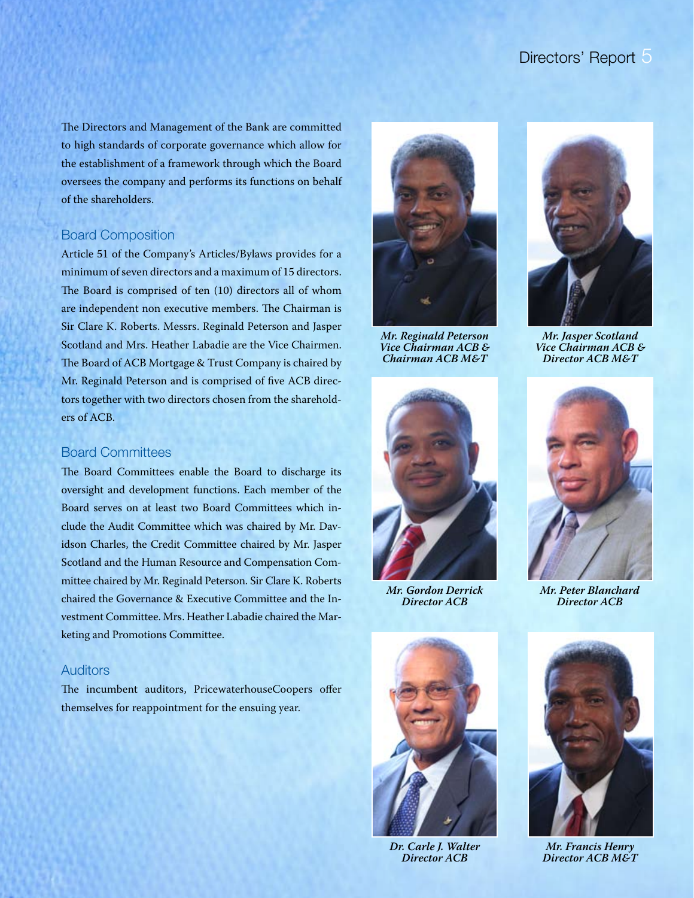The Directors and Management of the Bank are committed to high standards of corporate governance which allow for the establishment of a framework through which the Board oversees the company and performs its functions on behalf of the shareholders.

### Board Composition

Article 51 of the Company's Articles/Bylaws provides for a minimum of seven directors and a maximum of 15 directors. The Board is comprised of ten (10) directors all of whom are independent non executive members. The Chairman is Sir Clare K. Roberts. Messrs. Reginald Peterson and Jasper Scotland and Mrs. Heather Labadie are the Vice Chairmen. The Board of ACB Mortgage & Trust Company is chaired by Mr. Reginald Peterson and is comprised of five ACB directors together with two directors chosen from the shareholders of ACB.

#### Board Committees

The Board Committees enable the Board to discharge its oversight and development functions. Each member of the Board serves on at least two Board Committees which include the Audit Committee which was chaired by Mr. Davidson Charles, the Credit Committee chaired by Mr. Jasper Scotland and the Human Resource and Compensation Committee chaired by Mr. Reginald Peterson. Sir Clare K. Roberts chaired the Governance & Executive Committee and the Investment Committee. Mrs. Heather Labadie chaired the Marketing and Promotions Committee.

## **Auditors**

The incumbent auditors, PricewaterhouseCoopers offer themselves for reappointment for the ensuing year.



*Mr. Reginald Peterson Vice Chairman ACB & Chairman ACB M&T*



*Mr. Jasper Scotland Vice Chairman ACB & Director ACB M&T*



*Mr. Gordon Derrick Director ACB*



*Mr. Peter Blanchard Director ACB*



*Dr. Carle J. Walter Director ACB*



*Mr. Francis Henry Director ACB M&T*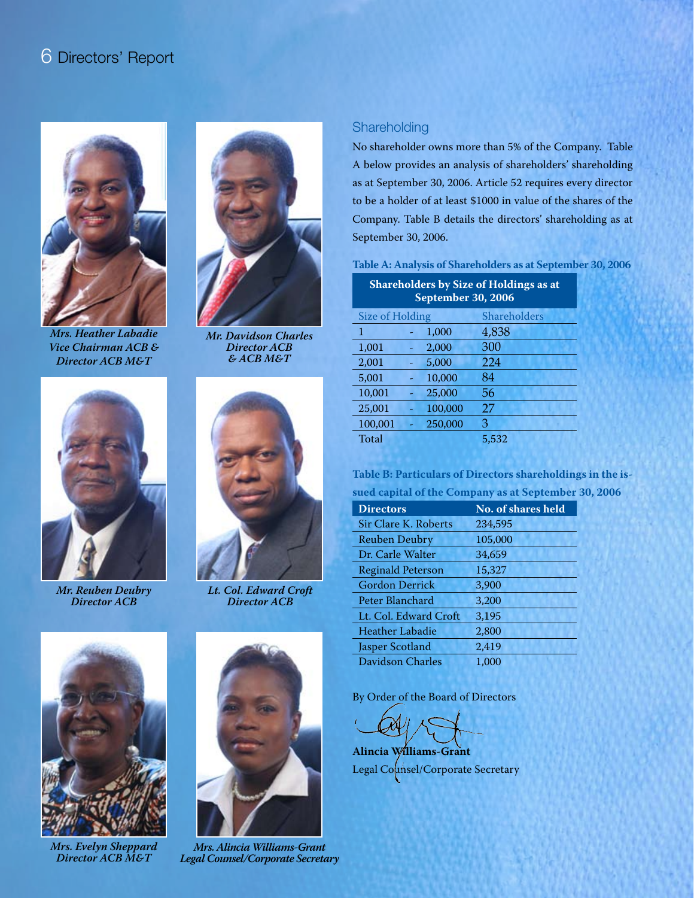# 6 Directors' Report



*Mrs. Heather Labadie Vice Chairman ACB & Director ACB M&T*



*Mr. Reuben Deubry Director ACB*



*Mrs. Evelyn Sheppard Director ACB M&T*



*Mr. Davidson Charles Director ACB & ACB M&T*



*Lt. Col. Edward Croft Director ACB*



*Mrs. Alincia Williams-Grant Legal Counsel/Corporate Secretary*

## **Shareholding**

No shareholder owns more than 5% of the Company. Table A below provides an analysis of shareholders' shareholding as at September 30, 2006. Article 52 requires every director to be a holder of at least \$1000 in value of the shares of the Company. Table B details the directors' shareholding as at September 30, 2006.

**Table A: Analysis of Shareholders as at September 30, 2006**

| <b>Shareholders by Size of Holdings as at</b><br>September 30, 2006 |  |         |              |  |  |  |  |  |  |  |
|---------------------------------------------------------------------|--|---------|--------------|--|--|--|--|--|--|--|
| Size of Holding                                                     |  |         | Shareholders |  |  |  |  |  |  |  |
| 1                                                                   |  | 1,000   | 4,838        |  |  |  |  |  |  |  |
| 1,001                                                               |  | 2,000   | 300          |  |  |  |  |  |  |  |
| 2,001                                                               |  | 5,000   | 224          |  |  |  |  |  |  |  |
| 5,001                                                               |  | 10,000  | 84           |  |  |  |  |  |  |  |
| 10,001                                                              |  | 25,000  | 56           |  |  |  |  |  |  |  |
| 25,001                                                              |  | 100,000 | 27           |  |  |  |  |  |  |  |
| 100.001                                                             |  | 250,000 | 3            |  |  |  |  |  |  |  |
| Total                                                               |  |         | 5,532        |  |  |  |  |  |  |  |

**Table B: Particulars of Directors shareholdings in the issued capital of the Company as at September 30, 2006**

| <b>Directors</b>            | <b>No. of shares held</b> |
|-----------------------------|---------------------------|
| <b>Sir Clare K. Roberts</b> | 234,595                   |
| <b>Reuben Deubry</b>        | 105,000                   |
| Dr. Carle Walter            | 34,659                    |
| <b>Reginald Peterson</b>    | 15,327                    |
| <b>Gordon Derrick</b>       | 3,900                     |
| Peter Blanchard             | 3,200                     |
| Lt. Col. Edward Croft       | 3,195                     |
| <b>Heather Labadie</b>      | 2,800                     |
| Jasper Scotland             | 2,419                     |
| Davidson Charles            | 1.000                     |

By Order of the Board of Directors

**Alincia Williams-Grant** Legal Counsel/Corporate Secretary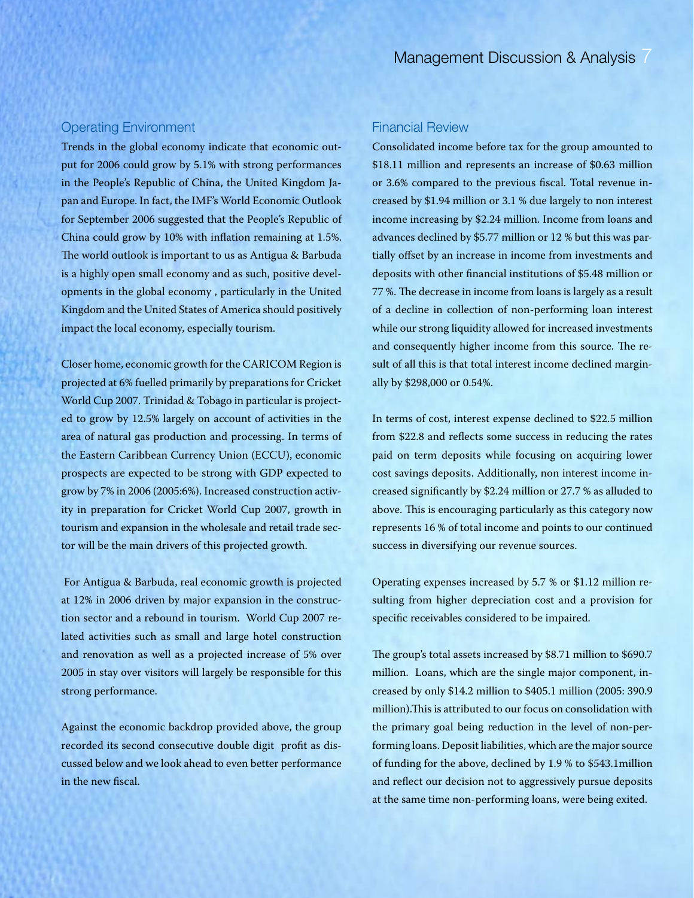#### Operating Environment

Trends in the global economy indicate that economic output for 2006 could grow by 5.1% with strong performances in the People's Republic of China, the United Kingdom Japan and Europe. In fact, the IMF's World Economic Outlook for September 2006 suggested that the People's Republic of China could grow by 10% with inflation remaining at 1.5%. The world outlook is important to us as Antigua & Barbuda is a highly open small economy and as such, positive developments in the global economy , particularly in the United Kingdom and the United States of America should positively impact the local economy, especially tourism.

Closer home, economic growth for the CARICOM Region is projected at 6% fuelled primarily by preparations for Cricket World Cup 2007. Trinidad & Tobago in particular is projected to grow by 12.5% largely on account of activities in the area of natural gas production and processing. In terms of the Eastern Caribbean Currency Union (ECCU), economic prospects are expected to be strong with GDP expected to grow by 7% in 2006 (2005:6%). Increased construction activity in preparation for Cricket World Cup 2007, growth in tourism and expansion in the wholesale and retail trade sector will be the main drivers of this projected growth.

 For Antigua & Barbuda, real economic growth is projected at 12% in 2006 driven by major expansion in the construction sector and a rebound in tourism. World Cup 2007 related activities such as small and large hotel construction and renovation as well as a projected increase of 5% over 2005 in stay over visitors will largely be responsible for this strong performance.

Against the economic backdrop provided above, the group recorded its second consecutive double digit profit as discussed below and we look ahead to even better performance in the new fiscal.

#### Financial Review

Consolidated income before tax for the group amounted to \$18.11 million and represents an increase of \$0.63 million or 3.6% compared to the previous fiscal. Total revenue increased by \$1.94 million or 3.1 % due largely to non interest income increasing by \$2.24 million. Income from loans and advances declined by \$5.77 million or 12 % but this was partially offset by an increase in income from investments and deposits with other financial institutions of \$5.48 million or 77 %. The decrease in income from loans is largely as a result of a decline in collection of non-performing loan interest while our strong liquidity allowed for increased investments and consequently higher income from this source. The result of all this is that total interest income declined marginally by \$298,000 or 0.54%.

In terms of cost, interest expense declined to \$22.5 million from \$22.8 and reflects some success in reducing the rates paid on term deposits while focusing on acquiring lower cost savings deposits. Additionally, non interest income increased significantly by \$2.24 million or 27.7 % as alluded to above. This is encouraging particularly as this category now represents 16 % of total income and points to our continued success in diversifying our revenue sources.

Operating expenses increased by 5.7 % or \$1.12 million resulting from higher depreciation cost and a provision for specific receivables considered to be impaired.

The group's total assets increased by \$8.71 million to \$690.7 million. Loans, which are the single major component, increased by only \$14.2 million to \$405.1 million (2005: 390.9 million).This is attributed to our focus on consolidation with the primary goal being reduction in the level of non-performing loans. Deposit liabilities, which are the major source of funding for the above, declined by 1.9 % to \$543.1million and reflect our decision not to aggressively pursue deposits at the same time non-performing loans, were being exited.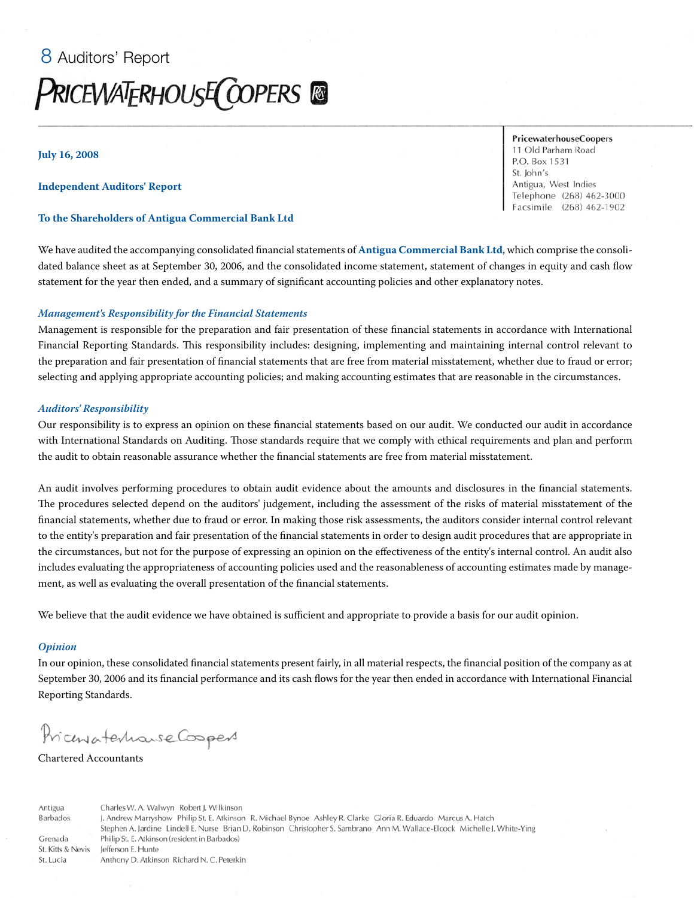# 8 Auditors' ReportPRICEWATERHOUSE COPERS

**July 16, 2008** 

**Independent Auditors' Report** 

#### **To the Shareholders of Antigua Commercial Bank Ltd**

We have audited the accompanying consolidated financial statements of **Antigua Commercial Bank Ltd**, which comprise the consolidated balance sheet as at September 30, 2006, and the consolidated income statement, statement of changes in equity and cash flow statement for the year then ended, and a summary of significant accounting policies and other explanatory notes.

#### *Management's Responsibility for the Financial Statements*

Management is responsible for the preparation and fair presentation of these financial statements in accordance with International Financial Reporting Standards. This responsibility includes: designing, implementing and maintaining internal control relevant to the preparation and fair presentation of financial statements that are free from material misstatement, whether due to fraud or error; selecting and applying appropriate accounting policies; and making accounting estimates that are reasonable in the circumstances.

#### *Auditors' Responsibility*

Our responsibility is to express an opinion on these financial statements based on our audit. We conducted our audit in accordance with International Standards on Auditing. Those standards require that we comply with ethical requirements and plan and perform the audit to obtain reasonable assurance whether the financial statements are free from material misstatement.

An audit involves performing procedures to obtain audit evidence about the amounts and disclosures in the financial statements. The procedures selected depend on the auditors' judgement, including the assessment of the risks of material misstatement of the financial statements, whether due to fraud or error. In making those risk assessments, the auditors consider internal control relevant to the entity's preparation and fair presentation of the financial statements in order to design audit procedures that are appropriate in the circumstances, but not for the purpose of expressing an opinion on the effectiveness of the entity's internal control. An audit also includes evaluating the appropriateness of accounting policies used and the reasonableness of accounting estimates made by management, as well as evaluating the overall presentation of the financial statements.

We believe that the audit evidence we have obtained is sufficient and appropriate to provide a basis for our audit opinion.

#### *Opinion*

In our opinion, these consolidated financial statements present fairly, in all material respects, the financial position of the company as at September 30, 2006 and its financial performance and its cash flows for the year then ended in accordance with International Financial Reporting Standards.

PricinatentanseCoopers

Chartered Accountants

Antigua Barbados Charles W. A. Walwyn Robert J. Wilkinson J. Andrew Marryshow Philip St. E. Atkinson R. Michael Bynoe Ashley R. Clarke Gloria R. Eduardo Marcus A. Hatch Stephen A. Jardine Lindell E. Nurse Brian D. Robinson Christopher S. Sambrano Ann M. Wallace-Elcock Michelle J. White-Ying Philip St. E. Atkinson (resident in Barbados) Jefferson E. Hunte Anthony D. Atkinson Richard N. C. Peterkin

**PricewaterhouseCoopers** 11 Old Parham Road P.O. Box 1531 St. John's Antigua, West Indies Telephone (268) 462-3000 Facsimile (268) 462-1902

Grenada St. Kitts & Nevis St. Lucia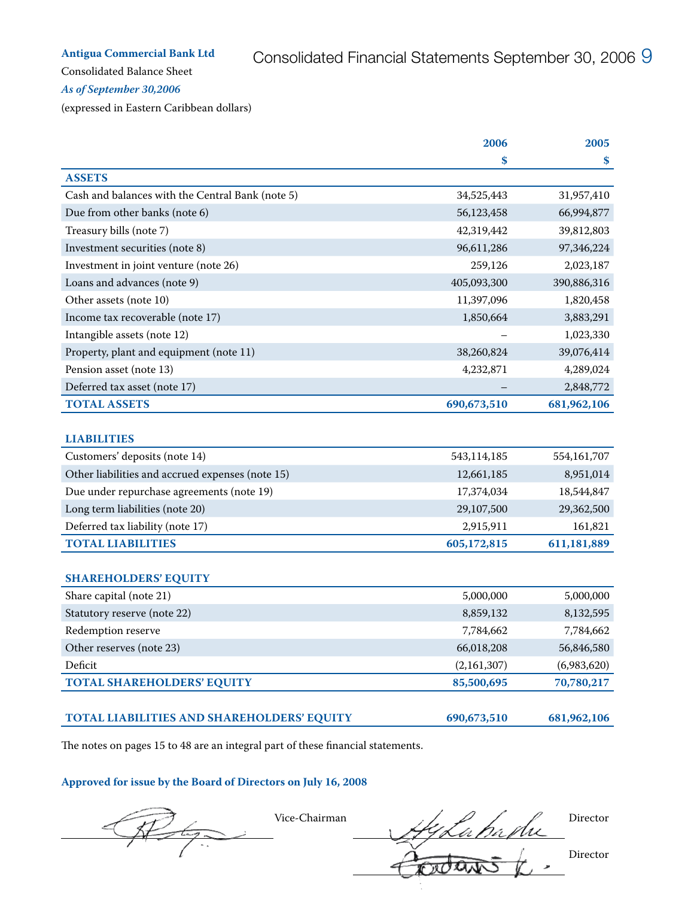#### **Antigua Commercial Bank Ltd**

## Consolidated Balance Sheet *As of September 30,2006*

(expressed in Eastern Caribbean dollars)

|                                                   | 2006        | <b>2005</b>   |
|---------------------------------------------------|-------------|---------------|
|                                                   | \$          | \$            |
| <b>ASSETS</b>                                     |             |               |
| Cash and balances with the Central Bank (note 5)  | 34,525,443  | 31,957,410    |
| Due from other banks (note 6)                     | 56,123,458  | 66,994,877    |
| Treasury bills (note 7)                           | 42,319,442  | 39,812,803    |
| Investment securities (note 8)                    | 96,611,286  | 97,346,224    |
| Investment in joint venture (note 26)             | 259,126     | 2,023,187     |
| Loans and advances (note 9)                       | 405,093,300 | 390,886,316   |
| Other assets (note 10)                            | 11,397,096  | 1,820,458     |
| Income tax recoverable (note 17)                  | 1,850,664   | 3,883,291     |
| Intangible assets (note 12)                       |             | 1,023,330     |
| Property, plant and equipment (note 11)           | 38,260,824  | 39,076,414    |
| Pension asset (note 13)                           | 4,232,871   | 4,289,024     |
| Deferred tax asset (note 17)                      |             | 2,848,772     |
| <b>TOTAL ASSETS</b>                               | 690,673,510 | 681,962,106   |
| <b>LIABILITIES</b>                                |             |               |
| Customers' deposits (note 14)                     | 543,114,185 | 554, 161, 707 |
| Other liabilities and accrued expenses (note 15)  | 12,661,185  | 8,951,014     |
| Due under repurchase agreements (note 19)         | 17,374,034  | 18,544,847    |
| Long term liabilities (note 20)                   | 29,107,500  | 29,362,500    |
| Deferred tax liability (note 17)                  | 2,915,911   | 161,821       |
| <b>TOTAL LIABILITIES</b>                          | 605,172,815 | 611,181,889   |
|                                                   |             |               |
| <b>SHAREHOLDERS' EQUITY</b>                       |             |               |
| Share capital (note 21)                           | 5,000,000   | 5,000,000     |
| Statutory reserve (note 22)                       | 8,859,132   | 8,132,595     |
| Redemption reserve                                | 7,784,662   | 7,784,662     |
| Other reserves (note 23)                          | 66,018,208  | 56,846,580    |
| Deficit                                           | (2,161,307) | (6,983,620)   |
| <b>TOTAL SHAREHOLDERS' EQUITY</b>                 | 85,500,695  | 70,780,217    |
|                                                   |             |               |
| <b>TOTAL LIABILITIES AND SHAREHOLDERS' EQUITY</b> | 690,673,510 | 681,962,106   |
|                                                   |             |               |

The notes on pages 15 to 48 are an integral part of these financial statements.

#### **Approved for issue by the Board of Directors on July 16, 2008**

Vice-Chairman Algler happen RG  $\leq$ Director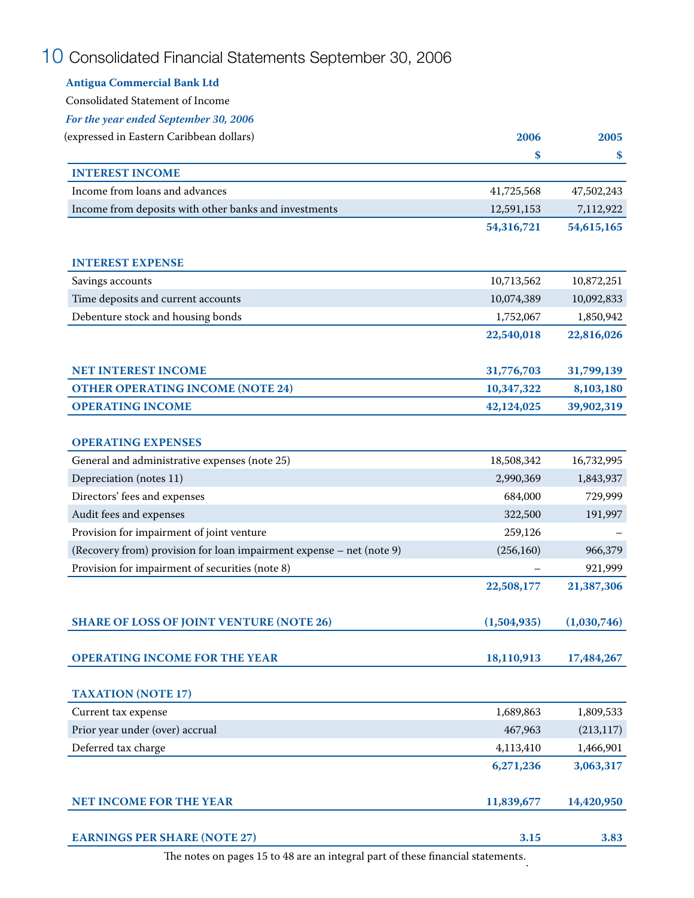# 10 Consolidated Financial Statements September 30, 2006

| <b>Antigua Commercial Bank Ltd</b>                                         |             |             |
|----------------------------------------------------------------------------|-------------|-------------|
| Consolidated Statement of Income                                           |             |             |
| For the year ended September 30, 2006                                      |             |             |
| (expressed in Eastern Caribbean dollars)                                   | 2006        | 2005        |
|                                                                            | \$          | \$          |
| <b>INTEREST INCOME</b>                                                     |             |             |
| Income from loans and advances                                             | 41,725,568  | 47,502,243  |
| Income from deposits with other banks and investments                      | 12,591,153  | 7,112,922   |
|                                                                            | 54,316,721  | 54,615,165  |
| <b>INTEREST EXPENSE</b>                                                    |             |             |
| Savings accounts                                                           | 10,713,562  | 10,872,251  |
| Time deposits and current accounts                                         | 10,074,389  | 10,092,833  |
| Debenture stock and housing bonds                                          | 1,752,067   | 1,850,942   |
|                                                                            | 22,540,018  | 22,816,026  |
| <b>NET INTEREST INCOME</b>                                                 | 31,776,703  | 31,799,139  |
| <b>OTHER OPERATING INCOME (NOTE 24)</b>                                    | 10,347,322  | 8,103,180   |
| <b>OPERATING INCOME</b>                                                    | 42,124,025  | 39,902,319  |
|                                                                            |             |             |
| <b>OPERATING EXPENSES</b><br>General and administrative expenses (note 25) | 18,508,342  | 16,732,995  |
| Depreciation (notes 11)                                                    | 2,990,369   | 1,843,937   |
| Directors' fees and expenses                                               | 684,000     | 729,999     |
| Audit fees and expenses                                                    | 322,500     | 191,997     |
| Provision for impairment of joint venture                                  | 259,126     |             |
| (Recovery from) provision for loan impairment expense - net (note 9)       | (256, 160)  | 966,379     |
| Provision for impairment of securities (note 8)                            |             | 921,999     |
|                                                                            | 22,508,177  | 21,387,306  |
| <b>SHARE OF LOSS OF JOINT VENTURE (NOTE 26)</b>                            | (1,504,935) | (1,030,746) |
|                                                                            |             |             |
| <b>OPERATING INCOME FOR THE YEAR</b>                                       | 18,110,913  | 17,484,267  |
| <b>TAXATION (NOTE 17)</b>                                                  |             |             |
| Current tax expense                                                        | 1,689,863   | 1,809,533   |
| Prior year under (over) accrual                                            | 467,963     | (213, 117)  |
| Deferred tax charge                                                        | 4,113,410   | 1,466,901   |
|                                                                            | 6,271,236   | 3,063,317   |
| <b>NET INCOME FOR THE YEAR</b>                                             | 11,839,677  | 14,420,950  |
| <b>EARNINGS PER SHARE (NOTE 27)</b>                                        | 3.15        | 3.83        |
|                                                                            |             |             |

The notes on pages 15 to 48 are an integral part of these financial statements. .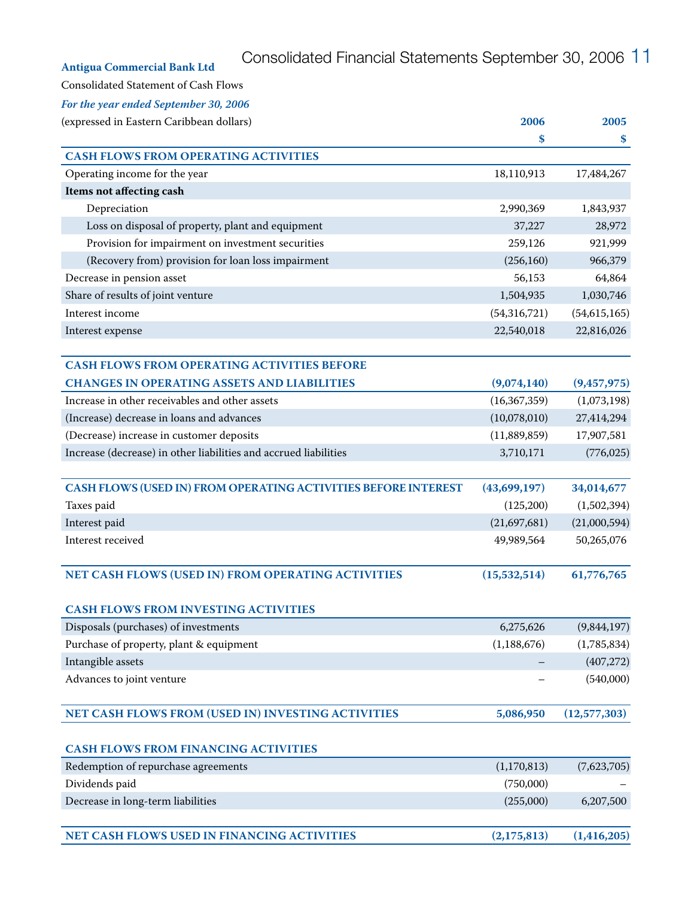# Consolidated Financial Statements September 30, 2006 11

#### **Antigua Commercial Bank Ltd**

Consolidated Statement of Cash Flows

# *For the year ended September 30, 2006*

 $\epsilon$ d in Eastern Caribbean dollars)

| (expressed in Eastern Caribbean dollars)                              | 2006           | 2005           |
|-----------------------------------------------------------------------|----------------|----------------|
|                                                                       | \$             | \$             |
| <b>CASH FLOWS FROM OPERATING ACTIVITIES</b>                           |                |                |
| Operating income for the year                                         | 18,110,913     | 17,484,267     |
| Items not affecting cash                                              |                |                |
| Depreciation                                                          | 2,990,369      | 1,843,937      |
| Loss on disposal of property, plant and equipment                     | 37,227         | 28,972         |
| Provision for impairment on investment securities                     | 259,126        | 921,999        |
| (Recovery from) provision for loan loss impairment                    | (256, 160)     | 966,379        |
| Decrease in pension asset                                             | 56,153         | 64,864         |
| Share of results of joint venture                                     | 1,504,935      | 1,030,746      |
| Interest income                                                       | (54,316,721)   | (54,615,165)   |
| Interest expense                                                      | 22,540,018     | 22,816,026     |
|                                                                       |                |                |
| <b>CASH FLOWS FROM OPERATING ACTIVITIES BEFORE</b>                    |                |                |
| <b>CHANGES IN OPERATING ASSETS AND LIABILITIES</b>                    | (9,074,140)    | (9,457,975)    |
| Increase in other receivables and other assets                        | (16, 367, 359) | (1,073,198)    |
| (Increase) decrease in loans and advances                             | (10,078,010)   | 27,414,294     |
| (Decrease) increase in customer deposits                              | (11,889,859)   | 17,907,581     |
| Increase (decrease) in other liabilities and accrued liabilities      | 3,710,171      | (776, 025)     |
|                                                                       |                |                |
| <b>CASH FLOWS (USED IN) FROM OPERATING ACTIVITIES BEFORE INTEREST</b> | (43,699,197)   | 34,014,677     |
| Taxes paid                                                            | (125,200)      | (1,502,394)    |
| Interest paid                                                         | (21,697,681)   | (21,000,594)   |
| Interest received                                                     | 49,989,564     | 50,265,076     |
|                                                                       |                |                |
| NET CASH FLOWS (USED IN) FROM OPERATING ACTIVITIES                    | (15, 532, 514) | 61,776,765     |
|                                                                       |                |                |
| <b>CASH FLOWS FROM INVESTING ACTIVITIES</b>                           |                |                |
| Disposals (purchases) of investments                                  | 6,275,626      | (9,844,197)    |
| Purchase of property, plant & equipment                               | (1, 188, 676)  | (1,785,834)    |
| Intangible assets                                                     |                | (407, 272)     |
| Advances to joint venture                                             |                | (540,000)      |
|                                                                       |                |                |
| NET CASH FLOWS FROM (USED IN) INVESTING ACTIVITIES                    | 5,086,950      | (12, 577, 303) |
|                                                                       |                |                |
| <b>CASH FLOWS FROM FINANCING ACTIVITIES</b>                           |                |                |
| Redemption of repurchase agreements                                   | (1,170,813)    | (7,623,705)    |
| Dividends paid                                                        | (750,000)      |                |
| Decrease in long-term liabilities                                     | (255,000)      | 6,207,500      |
|                                                                       |                |                |

**Net cash flows used in financing activities (2,175,813) (1,416,205)**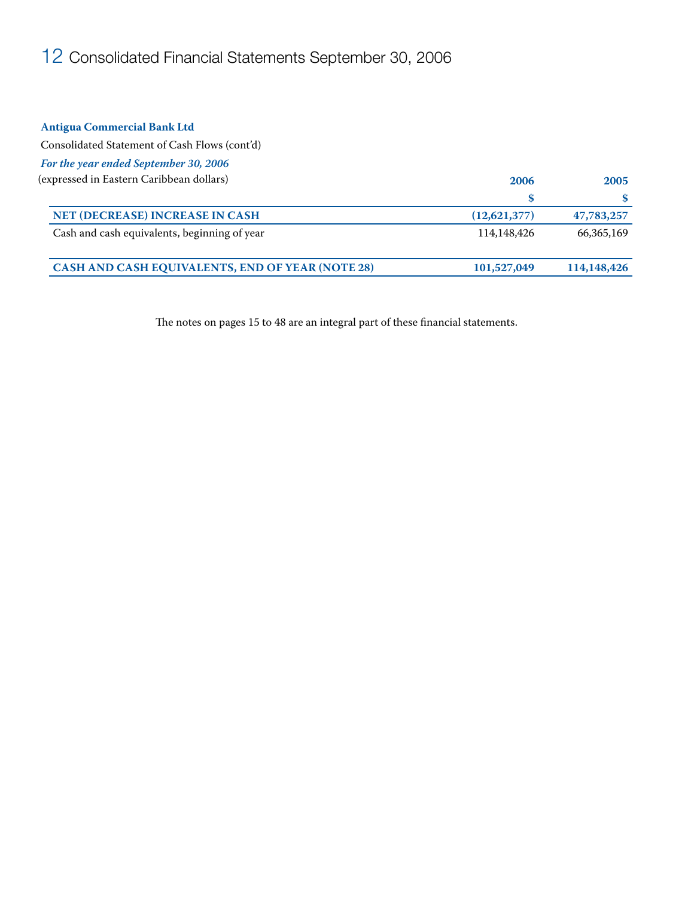#### **Antigua Commercial Bank Ltd**

Consolidated Statement of Cash Flows (cont'd) *For the year ended September 30, 2006*  (expressed in Eastern Caribbean dollars)

| expressed in Eastern Caribbean dollars)                 | 2006         | 2005        |
|---------------------------------------------------------|--------------|-------------|
|                                                         |              |             |
| <b>NET (DECREASE) INCREASE IN CASH</b>                  | (12,621,377) | 47,783,257  |
| Cash and cash equivalents, beginning of year            | 114,148,426  | 66,365,169  |
| <b>CASH AND CASH EQUIVALENTS, END OF YEAR (NOTE 28)</b> | 101,527,049  | 114,148,426 |

The notes on pages 15 to 48 are an integral part of these financial statements.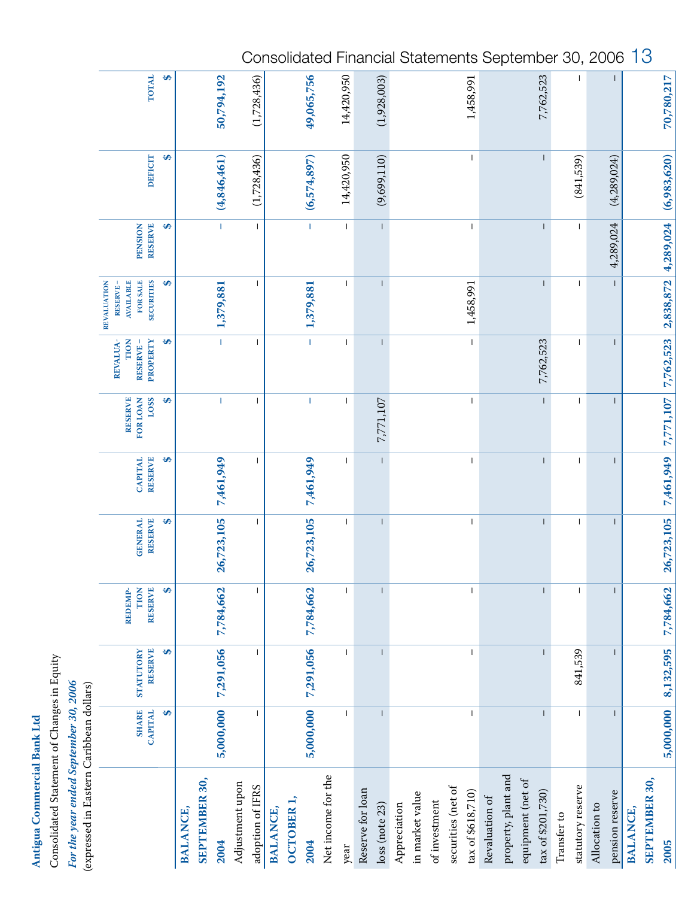| į             |
|---------------|
| <b>CHOMPS</b> |
|               |
| ci crir-<br>أ |

# Consolidated Statement of Changes in Equity Consolidated Statement of Changes in Equity

For the year ended September 30, 2006<br>(expressed in Eastern Caribbean dollars) *For the year ended September 30, 2006*  (expressed in Eastern Caribbean dollars)

|                           | <b>SHARE</b><br><b>CAPITAL</b><br>₩ | <b>RESERVE</b><br>₩<br>STATUTORY | <b>RESERVE</b><br>Ø<br>REDEMP-<br>TION | <b>GENERAL</b><br><b>RESERVE</b><br>₩ | <b>CAPITAL</b><br><b>RESERVE</b><br>₩ | <b>LOSS</b><br><b>RESERVE</b><br><b>FOR LOAN</b><br>₩ | ₩<br>REVALUA-<br>TION<br>RESERVE-<br><b>PROPERTY</b>                                                                                                                                                                                                                                                                                                                             | <b>AVAILABLE</b><br><b>FOR SALE</b><br><b>SECURITIES</b><br>REVALUATION<br>RESERVE-<br>₩ | <b>RESERVE</b><br><b>PENSION</b><br>Đ | Đ<br><b>DEFICIT</b>      | ₩<br><b>TOTAL</b> |
|---------------------------|-------------------------------------|----------------------------------|----------------------------------------|---------------------------------------|---------------------------------------|-------------------------------------------------------|----------------------------------------------------------------------------------------------------------------------------------------------------------------------------------------------------------------------------------------------------------------------------------------------------------------------------------------------------------------------------------|------------------------------------------------------------------------------------------|---------------------------------------|--------------------------|-------------------|
| SEPTEMBER 30,<br>BALANCE, |                                     |                                  |                                        |                                       |                                       |                                                       |                                                                                                                                                                                                                                                                                                                                                                                  |                                                                                          |                                       |                          |                   |
| 2004                      | 5,000,000                           | 7,291,056                        | 7,784,662                              | 26,723,105                            | 7,461,949                             |                                                       | T                                                                                                                                                                                                                                                                                                                                                                                | 1,379,881                                                                                | Ī.                                    | (4,846,461)              | 50,794,192        |
| Adjustment upon           |                                     |                                  |                                        |                                       |                                       |                                                       |                                                                                                                                                                                                                                                                                                                                                                                  |                                                                                          |                                       |                          |                   |
| adoption of IFRS          | $\mathsf{I}$                        | H                                | $\overline{\phantom{a}}$               | т                                     | Т                                     | $\overline{1}$                                        |                                                                                                                                                                                                                                                                                                                                                                                  |                                                                                          | $\mathbf{I}$                          | (1,728,436)              | (1,728,436)       |
| BALANCE,                  |                                     |                                  |                                        |                                       |                                       |                                                       |                                                                                                                                                                                                                                                                                                                                                                                  |                                                                                          |                                       |                          |                   |
| OCTOBER 1,                |                                     |                                  |                                        |                                       |                                       |                                                       |                                                                                                                                                                                                                                                                                                                                                                                  |                                                                                          |                                       |                          |                   |
| 2004                      | 5,000,000                           | 7,291,056                        | 7,784,662                              | 26,723,105                            | 7,461,949                             | Т                                                     | T                                                                                                                                                                                                                                                                                                                                                                                | 1,379,881                                                                                | T                                     | (6,574,897)              | 49,065,756        |
| Net income for the        |                                     |                                  |                                        |                                       |                                       |                                                       |                                                                                                                                                                                                                                                                                                                                                                                  |                                                                                          |                                       |                          |                   |
| year                      | T                                   | T                                | I                                      | T                                     | T                                     | T                                                     | I                                                                                                                                                                                                                                                                                                                                                                                | т                                                                                        | I                                     | 14,420,950               | 14,420,950        |
| Reserve for loan          |                                     |                                  |                                        |                                       |                                       |                                                       |                                                                                                                                                                                                                                                                                                                                                                                  |                                                                                          |                                       |                          |                   |
| loss (note 23)            |                                     |                                  |                                        |                                       |                                       | 7,771,107                                             |                                                                                                                                                                                                                                                                                                                                                                                  |                                                                                          |                                       | (9,699,110)              | (1,928,003)       |
| Appreciation              |                                     |                                  |                                        |                                       |                                       |                                                       |                                                                                                                                                                                                                                                                                                                                                                                  |                                                                                          |                                       |                          |                   |
| in market value           |                                     |                                  |                                        |                                       |                                       |                                                       |                                                                                                                                                                                                                                                                                                                                                                                  |                                                                                          |                                       |                          |                   |
| of investment             |                                     |                                  |                                        |                                       |                                       |                                                       |                                                                                                                                                                                                                                                                                                                                                                                  |                                                                                          |                                       |                          |                   |
| securities (net of        |                                     |                                  |                                        |                                       |                                       |                                                       |                                                                                                                                                                                                                                                                                                                                                                                  |                                                                                          |                                       |                          |                   |
| tax of \$618,710)         | I                                   | I                                | I                                      | $\overline{1}$                        | $\overline{\phantom{a}}$              | $\overline{\phantom{a}}$                              | $\begin{array}{c} \rule{0pt}{2.5ex} \rule{0pt}{2.5ex} \rule{0pt}{2.5ex} \rule{0pt}{2.5ex} \rule{0pt}{2.5ex} \rule{0pt}{2.5ex} \rule{0pt}{2.5ex} \rule{0pt}{2.5ex} \rule{0pt}{2.5ex} \rule{0pt}{2.5ex} \rule{0pt}{2.5ex} \rule{0pt}{2.5ex} \rule{0pt}{2.5ex} \rule{0pt}{2.5ex} \rule{0pt}{2.5ex} \rule{0pt}{2.5ex} \rule{0pt}{2.5ex} \rule{0pt}{2.5ex} \rule{0pt}{2.5ex} \rule{0$ | 1,458,991                                                                                | T                                     | $\overline{\phantom{a}}$ | 1,458,991         |
| Revaluation of            |                                     |                                  |                                        |                                       |                                       |                                                       |                                                                                                                                                                                                                                                                                                                                                                                  |                                                                                          |                                       |                          |                   |
| property, plant and       |                                     |                                  |                                        |                                       |                                       |                                                       |                                                                                                                                                                                                                                                                                                                                                                                  |                                                                                          |                                       |                          |                   |
| equipment (net of         |                                     |                                  |                                        |                                       |                                       |                                                       |                                                                                                                                                                                                                                                                                                                                                                                  |                                                                                          |                                       |                          |                   |
| tax of \$201,730)         |                                     |                                  |                                        |                                       |                                       | $\overline{\phantom{a}}$                              | 7,762,523                                                                                                                                                                                                                                                                                                                                                                        |                                                                                          |                                       |                          | 7,762,523         |
| Transfer to               |                                     |                                  |                                        |                                       |                                       |                                                       |                                                                                                                                                                                                                                                                                                                                                                                  |                                                                                          |                                       |                          |                   |
| statutory reserve         | L                                   | 841,539                          | I                                      | I                                     | I                                     | $\mathsf{I}$                                          | I                                                                                                                                                                                                                                                                                                                                                                                | I                                                                                        | L                                     | (841, 539)               | I                 |
| Allocation to             |                                     |                                  |                                        |                                       |                                       |                                                       |                                                                                                                                                                                                                                                                                                                                                                                  |                                                                                          |                                       |                          |                   |
| pension reserve           |                                     |                                  | T                                      |                                       |                                       | ı                                                     |                                                                                                                                                                                                                                                                                                                                                                                  |                                                                                          | 4,289,024                             | (4,289,024)              |                   |
| <b>BALANCE,</b>           |                                     |                                  |                                        |                                       |                                       |                                                       |                                                                                                                                                                                                                                                                                                                                                                                  |                                                                                          |                                       |                          |                   |
| SEPTEMBER 30,             |                                     |                                  |                                        |                                       |                                       |                                                       |                                                                                                                                                                                                                                                                                                                                                                                  |                                                                                          |                                       |                          |                   |
| 2005                      | 5,000,000                           | 8,132,595                        | 7,784,662                              | 26,723,105                            | 7,461,949                             | 7,771,107                                             | 7,762,523                                                                                                                                                                                                                                                                                                                                                                        | 2,838,872                                                                                | 4,289,024                             | (6,983,620)              | 70,780,217        |

Consolidated Financial Statements September 30, 2006 13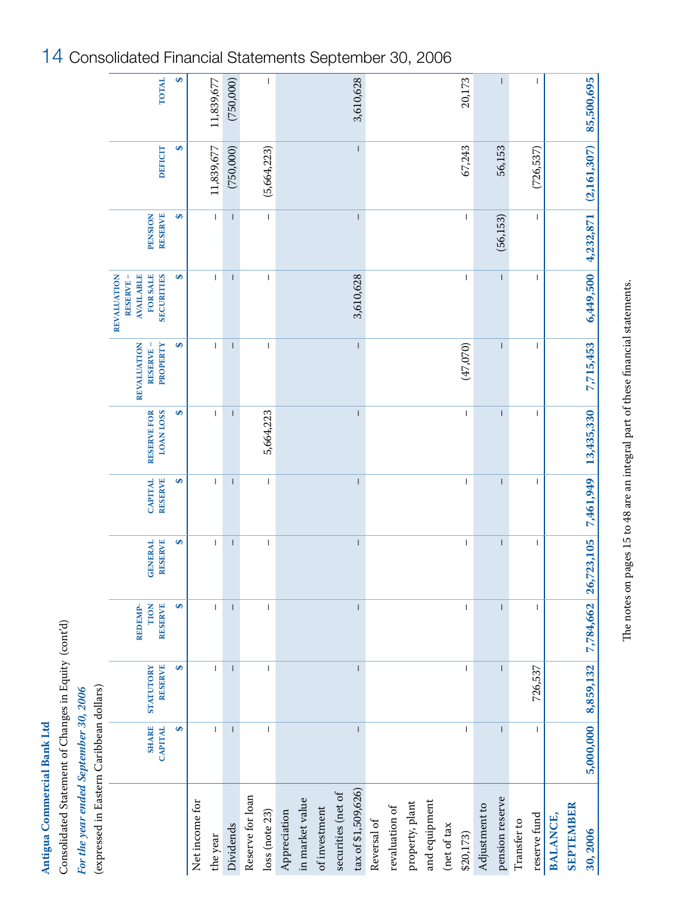Antigua Commercial Bank Ltd **Antigua Commercial Bank Ltd** 

Consolidated Statement of Changes in Equity (cont'd) Consolidated Statement of Changes in Equity (cont'd)

For the year ended September 30, 2006 (expressed in Eastern Caribbean dollars) *For the year ended September 30, 2006*  (expressed in Eastern Caribbean dollars)

| TOTAL                                                                        | Đ |                | 11,839,677   | (750,000) |                  | $\overline{\phantom{a}}$ |              |                 |               |                    | 3,610,628           |             |                |                 |               |              | 20,173                                |               | I               |             |              |              |                  | 85,500,695  |           |            |
|------------------------------------------------------------------------------|---|----------------|--------------|-----------|------------------|--------------------------|--------------|-----------------|---------------|--------------------|---------------------|-------------|----------------|-----------------|---------------|--------------|---------------------------------------|---------------|-----------------|-------------|--------------|--------------|------------------|-------------|-----------|------------|
| <b>DEFICIT</b>                                                               | Đ |                | 11,839,677   | (750,000) |                  | (5,664,223)              |              |                 |               |                    | т                   |             |                |                 |               |              | 67,243                                |               | 56,153          |             | (726, 537)   |              |                  | (2,161,307) |           |            |
| <b>PENSION</b><br><b>RESERVE</b>                                             | Đ |                | $\mathsf{I}$ | T         |                  | $\overline{\phantom{a}}$ |              |                 |               |                    |                     |             |                |                 |               |              | $\overline{\phantom{a}}$              |               | (56, 153)       |             | $\mathsf{I}$ |              |                  | 4,232,871   |           |            |
| <b>AVAILABLE</b><br>FOR SALE<br><b>SECURITIES</b><br>REVALUATION<br>RESERVE- | Đ |                | ı            | ı         |                  | $\overline{\phantom{a}}$ |              |                 |               |                    | 3,610,628           |             |                |                 |               |              | $\overline{\phantom{a}}$              |               | $\mathsf{I}$    |             | 1            |              |                  | 6,449,500   |           |            |
| <b>REVALUATION</b><br><b>PROPERTY</b><br>RESERVE-                            | Đ |                | ı            | ı         |                  | $\overline{\phantom{a}}$ | $\mathbf{I}$ |                 |               |                    |                     |             |                |                 |               | (47,070)     |                                       | ı             |                 | 1           |              |              | 7,715,453        |             |           |            |
| LOAN LOSS<br><b>RESERVE FOR</b>                                              | Đ |                | ı            | т         |                  | 5,664,223                | ı            |                 |               |                    |                     |             |                |                 |               |              |                                       |               | $\mathsf{I}$    |             | ı            |              | 1                |             |           | 13,435,330 |
| <b>CAPITAL</b><br><b>RESERVE</b>                                             | Đ |                | ı            | т         |                  | $\mathsf{I}$             | ı            |                 |               |                    |                     |             |                |                 |               | $\mathsf{I}$ |                                       | ı             |                 | 1           |              |              | 7,461,949        |             |           |            |
| <b>GENERAL</b><br><b>RESERVE</b>                                             | Đ |                | I            | т         |                  | $\overline{\phantom{a}}$ | $\mathsf{I}$ |                 |               |                    |                     |             |                |                 |               | $\mathsf{I}$ |                                       | I             |                 | 1           |              |              | 23,105<br> 26,7  |             |           |            |
| REDEMP-<br><b>RESERVE</b><br>TION                                            | Đ |                | T            | I         |                  | I                        | $\mathsf{I}$ |                 |               |                    |                     |             |                |                 |               |              |                                       | $\mathsf{I}$  |                 | T           |              | $\mathsf{I}$ |                  |             | 7,784,662 |            |
| <b>RESERVE</b><br><b>STATUTORY</b>                                           | ₩ |                | L            | T         |                  | I                        |              |                 |               |                    | $\mathsf{I}$        |             |                |                 |               |              | $\begin{array}{c} \hline \end{array}$ |               | T               |             | 726,537      |              |                  | 8,859,132   |           |            |
| <b>SHARE</b><br><b>CAPITAL</b>                                               | Đ |                | $\mathsf{I}$ |           |                  | I                        |              |                 |               |                    | $\mathbf{I}$        |             |                |                 |               |              | I                                     |               | T               |             | $\mathbf{I}$ |              |                  | 5,000,000   |           |            |
|                                                                              |   | Net income for | the year     | Dividends | Reserve for loan | loss (note 23)           | Appreciation | in market value | of investment | securities (net of | tax of \$1,509,626) | Reversal of | revaluation of | property, plant | and equipment | (net of tax  | \$20,173                              | Adjustment to | pension reserve | Transfer to | reserve fund | BALANCE,     | <b>SEPTEMBER</b> | 30, 2006    |           |            |

The notes on pages 15 to 48 are an integral part of these financial statements. The notes on pages 15 to 48 are an integral part of these financial statements.

# 14 Consolidated Financial Statements September 30, 2006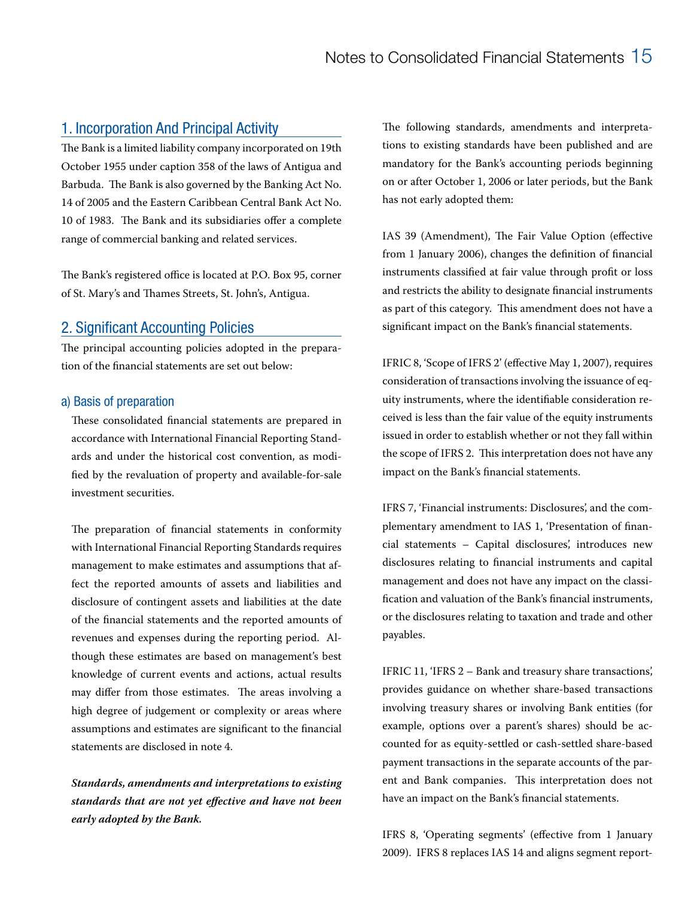## 1. Incorporation And Principal Activity

The Bank is a limited liability company incorporated on 19th October 1955 under caption 358 of the laws of Antigua and Barbuda. The Bank is also governed by the Banking Act No. 14 of 2005 and the Eastern Caribbean Central Bank Act No. 10 of 1983. The Bank and its subsidiaries offer a complete range of commercial banking and related services.

The Bank's registered office is located at P.O. Box 95, corner of St. Mary's and Thames Streets, St. John's, Antigua.

#### 2. Significant Accounting Policies

The principal accounting policies adopted in the preparation of the financial statements are set out below:

#### a) Basis of preparation

These consolidated financial statements are prepared in accordance with International Financial Reporting Standards and under the historical cost convention, as modified by the revaluation of property and available-for-sale investment securities.

The preparation of financial statements in conformity with International Financial Reporting Standards requires management to make estimates and assumptions that affect the reported amounts of assets and liabilities and disclosure of contingent assets and liabilities at the date of the financial statements and the reported amounts of revenues and expenses during the reporting period. Although these estimates are based on management's best knowledge of current events and actions, actual results may differ from those estimates. The areas involving a high degree of judgement or complexity or areas where assumptions and estimates are significant to the financial statements are disclosed in note 4.

*Standards, amendments and interpretations to existing standards that are not yet effective and have not been early adopted by the Bank.*

The following standards, amendments and interpretations to existing standards have been published and are mandatory for the Bank's accounting periods beginning on or after October 1, 2006 or later periods, but the Bank has not early adopted them:

IAS 39 (Amendment), The Fair Value Option (effective from 1 January 2006), changes the definition of financial instruments classified at fair value through profit or loss and restricts the ability to designate financial instruments as part of this category. This amendment does not have a significant impact on the Bank's financial statements.

IFRIC 8, 'Scope of IFRS 2' (effective May 1, 2007), requires consideration of transactions involving the issuance of equity instruments, where the identifiable consideration received is less than the fair value of the equity instruments issued in order to establish whether or not they fall within the scope of IFRS 2. This interpretation does not have any impact on the Bank's financial statements.

IFRS 7, 'Financial instruments: Disclosures', and the complementary amendment to IAS 1, 'Presentation of financial statements – Capital disclosures', introduces new disclosures relating to financial instruments and capital management and does not have any impact on the classification and valuation of the Bank's financial instruments, or the disclosures relating to taxation and trade and other payables.

IFRIC 11, 'IFRS 2 – Bank and treasury share transactions', provides guidance on whether share-based transactions involving treasury shares or involving Bank entities (for example, options over a parent's shares) should be accounted for as equity-settled or cash-settled share-based payment transactions in the separate accounts of the parent and Bank companies. This interpretation does not have an impact on the Bank's financial statements.

IFRS 8, 'Operating segments' (effective from 1 January 2009). IFRS 8 replaces IAS 14 and aligns segment report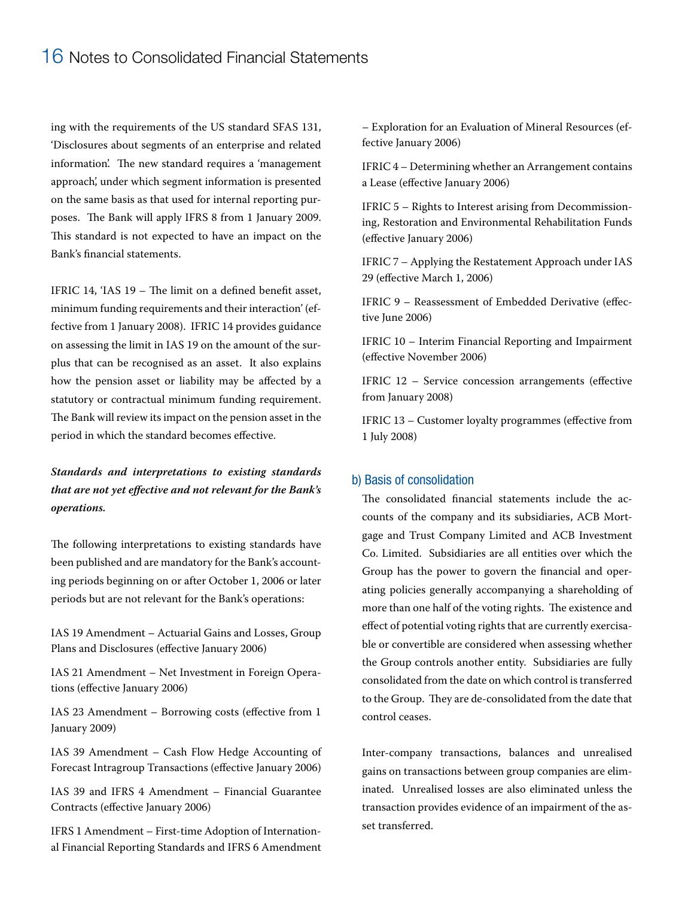ing with the requirements of the US standard SFAS 131, 'Disclosures about segments of an enterprise and related information'. The new standard requires a 'management approach', under which segment information is presented on the same basis as that used for internal reporting purposes. The Bank will apply IFRS 8 from 1 January 2009. This standard is not expected to have an impact on the Bank's financial statements.

IFRIC 14, 'IAS 19 – The limit on a defined benefit asset, minimum funding requirements and their interaction' (effective from 1 January 2008). IFRIC 14 provides guidance on assessing the limit in IAS 19 on the amount of the surplus that can be recognised as an asset. It also explains how the pension asset or liability may be affected by a statutory or contractual minimum funding requirement. The Bank will review its impact on the pension asset in the period in which the standard becomes effective.

*Standards and interpretations to existing standards that are not yet effective and not relevant for the Bank's operations.*

The following interpretations to existing standards have been published and are mandatory for the Bank's accounting periods beginning on or after October 1, 2006 or later periods but are not relevant for the Bank's operations:

IAS 19 Amendment – Actuarial Gains and Losses, Group Plans and Disclosures (effective January 2006)

IAS 21 Amendment – Net Investment in Foreign Operations (effective January 2006)

IAS 23 Amendment – Borrowing costs (effective from 1 January 2009)

IAS 39 Amendment – Cash Flow Hedge Accounting of Forecast Intragroup Transactions (effective January 2006)

IAS 39 and IFRS 4 Amendment – Financial Guarantee Contracts (effective January 2006)

IFRS 1 Amendment – First-time Adoption of International Financial Reporting Standards and IFRS 6 Amendment – Exploration for an Evaluation of Mineral Resources (effective January 2006)

IFRIC 4 – Determining whether an Arrangement contains a Lease (effective January 2006)

IFRIC 5 – Rights to Interest arising from Decommissioning, Restoration and Environmental Rehabilitation Funds (effective January 2006)

IFRIC 7 – Applying the Restatement Approach under IAS 29 (effective March 1, 2006)

IFRIC 9 – Reassessment of Embedded Derivative (effective June 2006)

IFRIC 10 – Interim Financial Reporting and Impairment (effective November 2006)

IFRIC 12 – Service concession arrangements (effective from January 2008)

IFRIC 13 – Customer loyalty programmes (effective from 1 July 2008)

#### b) Basis of consolidation

The consolidated financial statements include the accounts of the company and its subsidiaries, ACB Mortgage and Trust Company Limited and ACB Investment Co. Limited. Subsidiaries are all entities over which the Group has the power to govern the financial and operating policies generally accompanying a shareholding of more than one half of the voting rights. The existence and effect of potential voting rights that are currently exercisable or convertible are considered when assessing whether the Group controls another entity. Subsidiaries are fully consolidated from the date on which control is transferred to the Group. They are de-consolidated from the date that control ceases.

Inter-company transactions, balances and unrealised gains on transactions between group companies are eliminated. Unrealised losses are also eliminated unless the transaction provides evidence of an impairment of the asset transferred.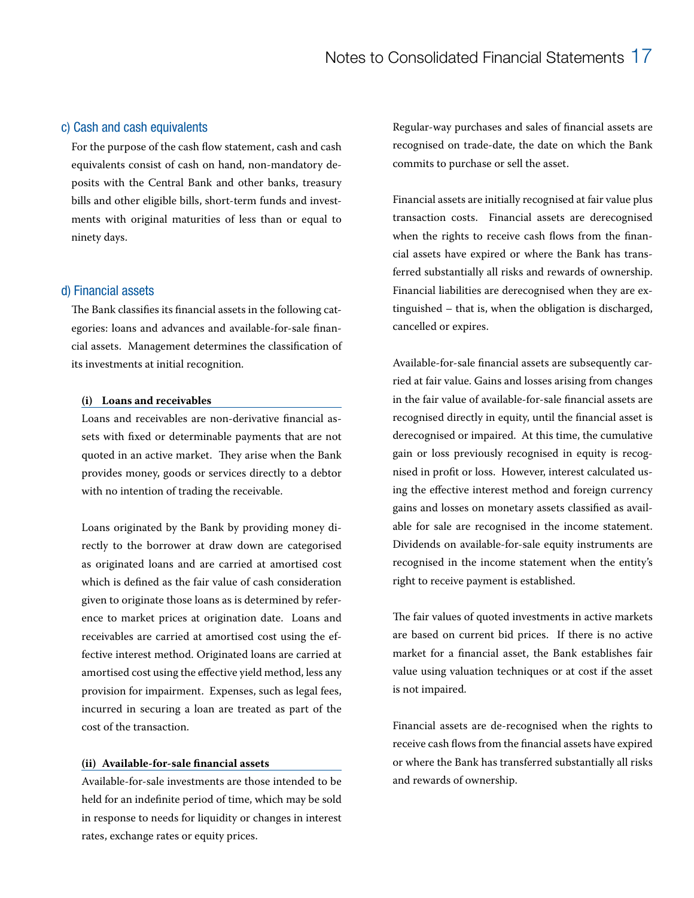#### c) Cash and cash equivalents

For the purpose of the cash flow statement, cash and cash equivalents consist of cash on hand, non-mandatory deposits with the Central Bank and other banks, treasury bills and other eligible bills, short-term funds and investments with original maturities of less than or equal to ninety days.

#### d) Financial assets

The Bank classifies its financial assets in the following categories: loans and advances and available-for-sale financial assets. Management determines the classification of its investments at initial recognition.

#### **(i) Loans and receivables**

Loans and receivables are non-derivative financial assets with fixed or determinable payments that are not quoted in an active market. They arise when the Bank provides money, goods or services directly to a debtor with no intention of trading the receivable.

Loans originated by the Bank by providing money directly to the borrower at draw down are categorised as originated loans and are carried at amortised cost which is defined as the fair value of cash consideration given to originate those loans as is determined by reference to market prices at origination date. Loans and receivables are carried at amortised cost using the effective interest method. Originated loans are carried at amortised cost using the effective yield method, less any provision for impairment. Expenses, such as legal fees, incurred in securing a loan are treated as part of the cost of the transaction.

#### **(ii) Available-for-sale financial assets**

Available-for-sale investments are those intended to be held for an indefinite period of time, which may be sold in response to needs for liquidity or changes in interest rates, exchange rates or equity prices.

Regular-way purchases and sales of financial assets are recognised on trade-date, the date on which the Bank commits to purchase or sell the asset.

Financial assets are initially recognised at fair value plus transaction costs. Financial assets are derecognised when the rights to receive cash flows from the financial assets have expired or where the Bank has transferred substantially all risks and rewards of ownership. Financial liabilities are derecognised when they are extinguished – that is, when the obligation is discharged, cancelled or expires.

Available-for-sale financial assets are subsequently carried at fair value. Gains and losses arising from changes in the fair value of available-for-sale financial assets are recognised directly in equity, until the financial asset is derecognised or impaired. At this time, the cumulative gain or loss previously recognised in equity is recognised in profit or loss. However, interest calculated using the effective interest method and foreign currency gains and losses on monetary assets classified as available for sale are recognised in the income statement. Dividends on available-for-sale equity instruments are recognised in the income statement when the entity's right to receive payment is established.

The fair values of quoted investments in active markets are based on current bid prices. If there is no active market for a financial asset, the Bank establishes fair value using valuation techniques or at cost if the asset is not impaired.

Financial assets are de-recognised when the rights to receive cash flows from the financial assets have expired or where the Bank has transferred substantially all risks and rewards of ownership.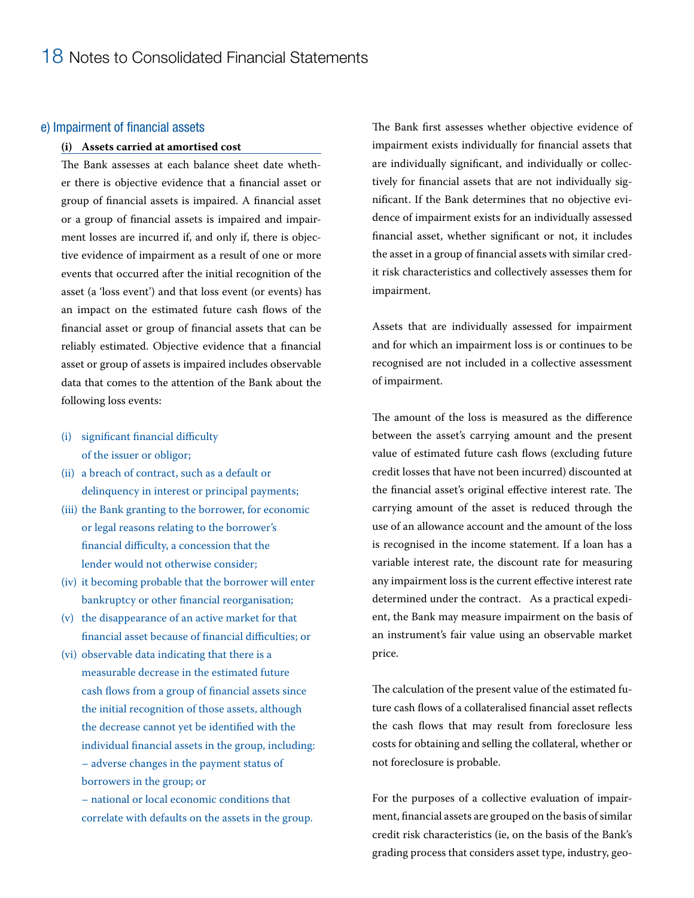#### e) Impairment of financial assets

#### **(i) Assets carried at amortised cost**

The Bank assesses at each balance sheet date whether there is objective evidence that a financial asset or group of financial assets is impaired. A financial asset or a group of financial assets is impaired and impairment losses are incurred if, and only if, there is objective evidence of impairment as a result of one or more events that occurred after the initial recognition of the asset (a 'loss event') and that loss event (or events) has an impact on the estimated future cash flows of the financial asset or group of financial assets that can be reliably estimated. Objective evidence that a financial asset or group of assets is impaired includes observable data that comes to the attention of the Bank about the following loss events:

- (i) significant financial difficulty of the issuer or obligor;
- (ii) a breach of contract, such as a default or delinquency in interest or principal payments;
- (iii) the Bank granting to the borrower, for economic or legal reasons relating to the borrower's financial difficulty, a concession that the lender would not otherwise consider;
- (iv) it becoming probable that the borrower will enter bankruptcy or other financial reorganisation;
- (v) the disappearance of an active market for that financial asset because of financial difficulties; or
- (vi) observable data indicating that there is a measurable decrease in the estimated future cash flows from a group of financial assets since the initial recognition of those assets, although the decrease cannot yet be identified with the individual financial assets in the group, including: – adverse changes in the payment status of borrowers in the group; or

– national or local economic conditions that correlate with defaults on the assets in the group. The Bank first assesses whether objective evidence of impairment exists individually for financial assets that are individually significant, and individually or collectively for financial assets that are not individually significant. If the Bank determines that no objective evidence of impairment exists for an individually assessed financial asset, whether significant or not, it includes the asset in a group of financial assets with similar credit risk characteristics and collectively assesses them for impairment.

Assets that are individually assessed for impairment and for which an impairment loss is or continues to be recognised are not included in a collective assessment of impairment.

The amount of the loss is measured as the difference between the asset's carrying amount and the present value of estimated future cash flows (excluding future credit losses that have not been incurred) discounted at the financial asset's original effective interest rate. The carrying amount of the asset is reduced through the use of an allowance account and the amount of the loss is recognised in the income statement. If a loan has a variable interest rate, the discount rate for measuring any impairment loss is the current effective interest rate determined under the contract. As a practical expedient, the Bank may measure impairment on the basis of an instrument's fair value using an observable market price.

The calculation of the present value of the estimated future cash flows of a collateralised financial asset reflects the cash flows that may result from foreclosure less costs for obtaining and selling the collateral, whether or not foreclosure is probable.

For the purposes of a collective evaluation of impairment, financial assets are grouped on the basis of similar credit risk characteristics (ie, on the basis of the Bank's grading process that considers asset type, industry, geo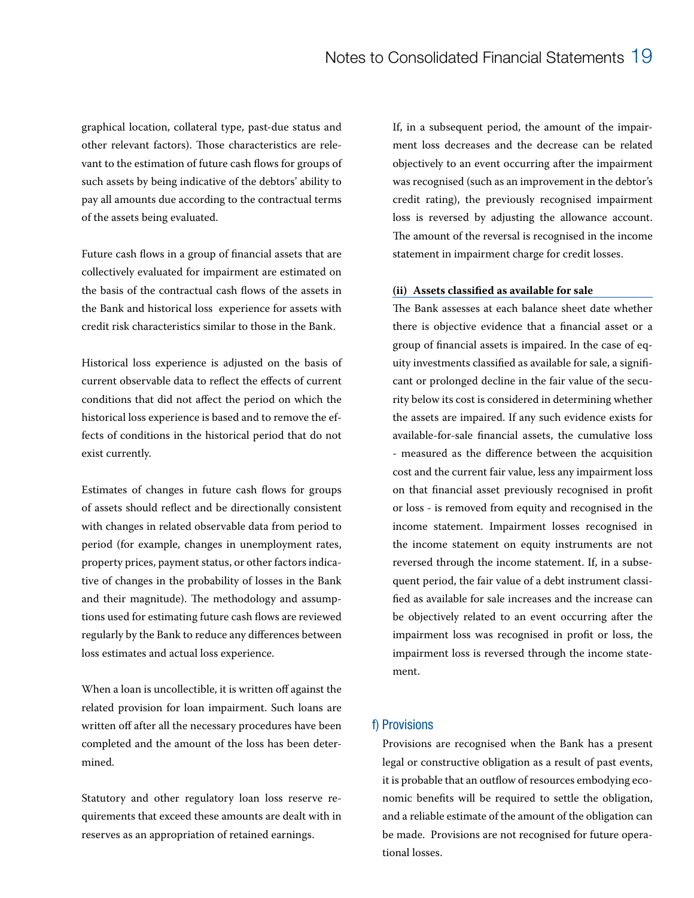graphical location, collateral type, past-due status and other relevant factors). Those characteristics are relevant to the estimation of future cash flows for groups of such assets by being indicative of the debtors' ability to pay all amounts due according to the contractual terms of the assets being evaluated.

Future cash flows in a group of financial assets that are collectively evaluated for impairment are estimated on the basis of the contractual cash flows of the assets in the Bank and historical loss experience for assets with credit risk characteristics similar to those in the Bank.

Historical loss experience is adjusted on the basis of current observable data to reflect the effects of current conditions that did not affect the period on which the historical loss experience is based and to remove the effects of conditions in the historical period that do not exist currently.

Estimates of changes in future cash flows for groups of assets should reflect and be directionally consistent with changes in related observable data from period to period (for example, changes in unemployment rates, property prices, payment status, or other factors indicative of changes in the probability of losses in the Bank and their magnitude). The methodology and assumptions used for estimating future cash flows are reviewed regularly by the Bank to reduce any differences between loss estimates and actual loss experience.

When a loan is uncollectible, it is written off against the related provision for loan impairment. Such loans are written off after all the necessary procedures have been completed and the amount of the loss has been determined.

Statutory and other regulatory loan loss reserve requirements that exceed these amounts are dealt with in reserves as an appropriation of retained earnings.

If, in a subsequent period, the amount of the impairment loss decreases and the decrease can be related objectively to an event occurring after the impairment was recognised (such as an improvement in the debtor's credit rating), the previously recognised impairment loss is reversed by adjusting the allowance account. The amount of the reversal is recognised in the income statement in impairment charge for credit losses.

#### **(ii) Assets classified as available for sale**

The Bank assesses at each balance sheet date whether there is objective evidence that a financial asset or a group of financial assets is impaired. In the case of equity investments classified as available for sale, a significant or prolonged decline in the fair value of the security below its cost is considered in determining whether the assets are impaired. If any such evidence exists for available-for-sale financial assets, the cumulative loss - measured as the difference between the acquisition cost and the current fair value, less any impairment loss on that financial asset previously recognised in profit or loss - is removed from equity and recognised in the income statement. Impairment losses recognised in the income statement on equity instruments are not reversed through the income statement. If, in a subsequent period, the fair value of a debt instrument classified as available for sale increases and the increase can be objectively related to an event occurring after the impairment loss was recognised in profit or loss, the impairment loss is reversed through the income statement.

#### f) Provisions

Provisions are recognised when the Bank has a present legal or constructive obligation as a result of past events, it is probable that an outflow of resources embodying economic benefits will be required to settle the obligation, and a reliable estimate of the amount of the obligation can be made. Provisions are not recognised for future operational losses.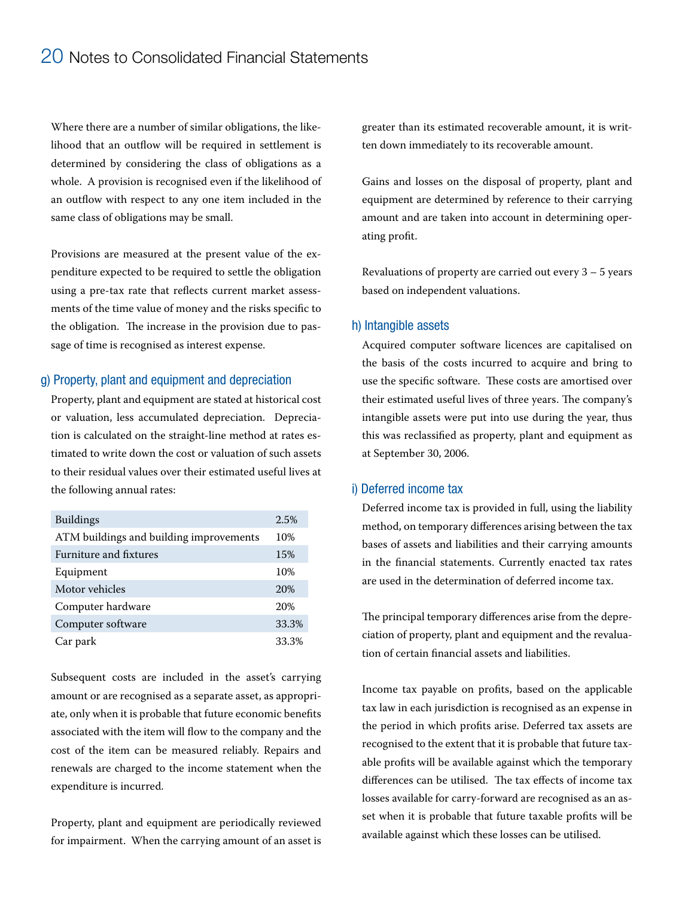Where there are a number of similar obligations, the likelihood that an outflow will be required in settlement is determined by considering the class of obligations as a whole. A provision is recognised even if the likelihood of an outflow with respect to any one item included in the same class of obligations may be small.

Provisions are measured at the present value of the expenditure expected to be required to settle the obligation using a pre-tax rate that reflects current market assessments of the time value of money and the risks specific to the obligation. The increase in the provision due to passage of time is recognised as interest expense.

#### g) Property, plant and equipment and depreciation

Property, plant and equipment are stated at historical cost or valuation, less accumulated depreciation. Depreciation is calculated on the straight-line method at rates estimated to write down the cost or valuation of such assets to their residual values over their estimated useful lives at the following annual rates:

| <b>Buildings</b>                        | 2.5%  |
|-----------------------------------------|-------|
| ATM buildings and building improvements | 10%   |
| Furniture and fixtures                  | 15%   |
| Equipment                               | 10%   |
| Motor vehicles                          | 20%   |
| Computer hardware                       | 20%   |
| Computer software                       | 33.3% |
| Car park                                | 33.3% |

Subsequent costs are included in the asset's carrying amount or are recognised as a separate asset, as appropriate, only when it is probable that future economic benefits associated with the item will flow to the company and the cost of the item can be measured reliably. Repairs and renewals are charged to the income statement when the expenditure is incurred.

Property, plant and equipment are periodically reviewed for impairment. When the carrying amount of an asset is greater than its estimated recoverable amount, it is written down immediately to its recoverable amount.

Gains and losses on the disposal of property, plant and equipment are determined by reference to their carrying amount and are taken into account in determining operating profit.

Revaluations of property are carried out every  $3 - 5$  years based on independent valuations.

#### h) Intangible assets

Acquired computer software licences are capitalised on the basis of the costs incurred to acquire and bring to use the specific software. These costs are amortised over their estimated useful lives of three years. The company's intangible assets were put into use during the year, thus this was reclassified as property, plant and equipment as at September 30, 2006.

#### i) Deferred income tax

Deferred income tax is provided in full, using the liability method, on temporary differences arising between the tax bases of assets and liabilities and their carrying amounts in the financial statements. Currently enacted tax rates are used in the determination of deferred income tax.

The principal temporary differences arise from the depreciation of property, plant and equipment and the revaluation of certain financial assets and liabilities.

Income tax payable on profits, based on the applicable tax law in each jurisdiction is recognised as an expense in the period in which profits arise. Deferred tax assets are recognised to the extent that it is probable that future taxable profits will be available against which the temporary differences can be utilised. The tax effects of income tax losses available for carry-forward are recognised as an asset when it is probable that future taxable profits will be available against which these losses can be utilised.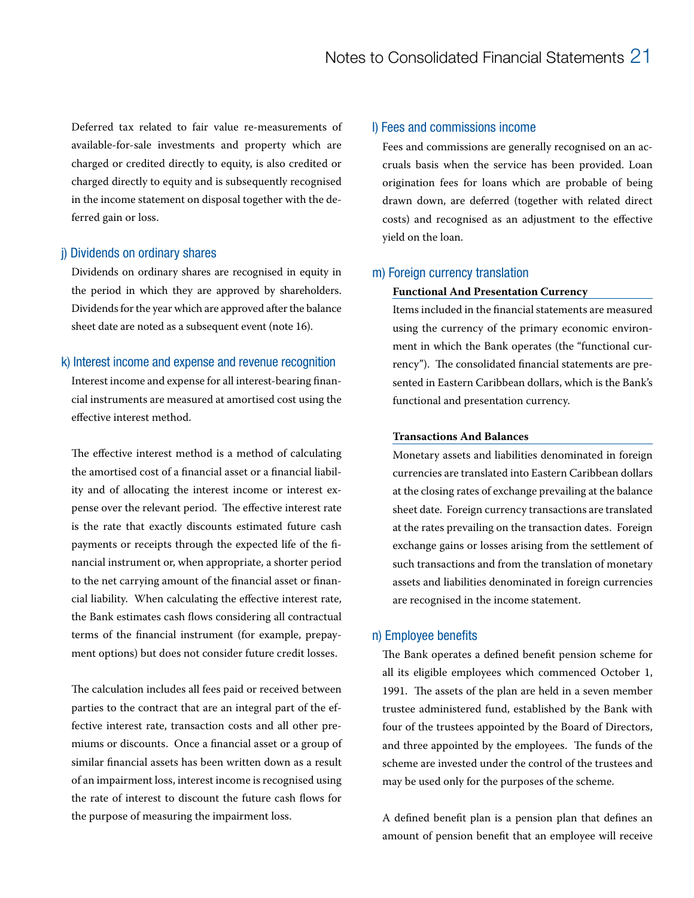Deferred tax related to fair value re-measurements of available-for-sale investments and property which are charged or credited directly to equity, is also credited or charged directly to equity and is subsequently recognised in the income statement on disposal together with the deferred gain or loss.

#### j) Dividends on ordinary shares

Dividends on ordinary shares are recognised in equity in the period in which they are approved by shareholders. Dividends for the year which are approved after the balance sheet date are noted as a subsequent event (note 16).

#### k) Interest income and expense and revenue recognition

Interest income and expense for all interest-bearing financial instruments are measured at amortised cost using the effective interest method.

The effective interest method is a method of calculating the amortised cost of a financial asset or a financial liability and of allocating the interest income or interest expense over the relevant period. The effective interest rate is the rate that exactly discounts estimated future cash payments or receipts through the expected life of the financial instrument or, when appropriate, a shorter period to the net carrying amount of the financial asset or financial liability. When calculating the effective interest rate, the Bank estimates cash flows considering all contractual terms of the financial instrument (for example, prepayment options) but does not consider future credit losses.

The calculation includes all fees paid or received between parties to the contract that are an integral part of the effective interest rate, transaction costs and all other premiums or discounts. Once a financial asset or a group of similar financial assets has been written down as a result of an impairment loss, interest income is recognised using the rate of interest to discount the future cash flows for the purpose of measuring the impairment loss.

#### l) Fees and commissions income

Fees and commissions are generally recognised on an accruals basis when the service has been provided. Loan origination fees for loans which are probable of being drawn down, are deferred (together with related direct costs) and recognised as an adjustment to the effective yield on the loan.

#### m) Foreign currency translation

#### **Functional And Presentation Currency**

Items included in the financial statements are measured using the currency of the primary economic environment in which the Bank operates (the "functional currency"). The consolidated financial statements are presented in Eastern Caribbean dollars, which is the Bank's functional and presentation currency.

#### **Transactions And Balances**

Monetary assets and liabilities denominated in foreign currencies are translated into Eastern Caribbean dollars at the closing rates of exchange prevailing at the balance sheet date. Foreign currency transactions are translated at the rates prevailing on the transaction dates. Foreign exchange gains or losses arising from the settlement of such transactions and from the translation of monetary assets and liabilities denominated in foreign currencies are recognised in the income statement.

#### n) Employee benefits

The Bank operates a defined benefit pension scheme for all its eligible employees which commenced October 1, 1991. The assets of the plan are held in a seven member trustee administered fund, established by the Bank with four of the trustees appointed by the Board of Directors, and three appointed by the employees. The funds of the scheme are invested under the control of the trustees and may be used only for the purposes of the scheme.

A defined benefit plan is a pension plan that defines an amount of pension benefit that an employee will receive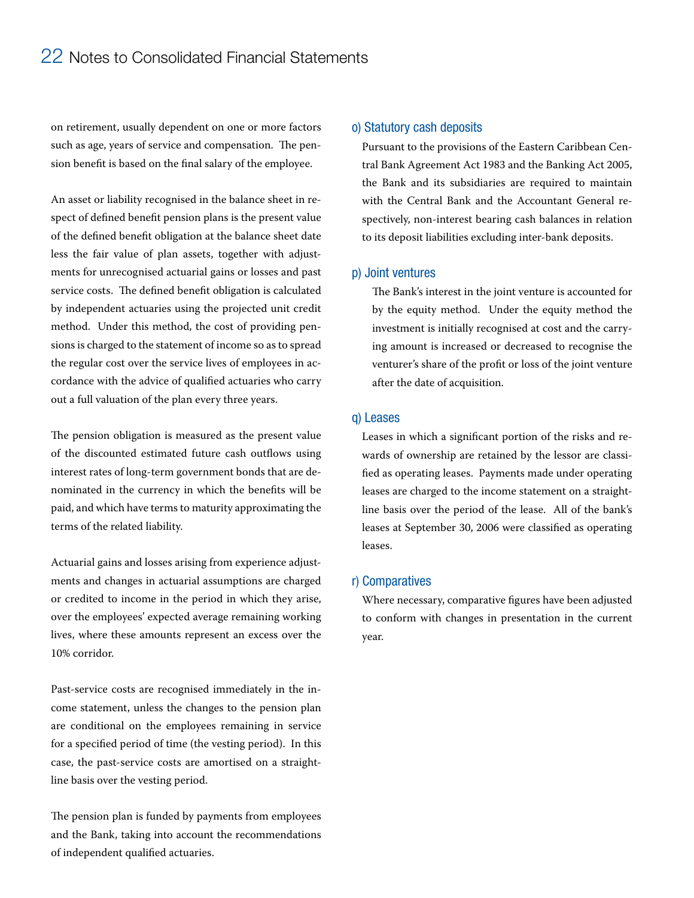on retirement, usually dependent on one or more factors such as age, years of service and compensation. The pension benefit is based on the final salary of the employee.

An asset or liability recognised in the balance sheet in respect of defined benefit pension plans is the present value of the defined benefit obligation at the balance sheet date less the fair value of plan assets, together with adjustments for unrecognised actuarial gains or losses and past service costs. The defined benefit obligation is calculated by independent actuaries using the projected unit credit method. Under this method, the cost of providing pensions is charged to the statement of income so as to spread the regular cost over the service lives of employees in accordance with the advice of qualified actuaries who carry out a full valuation of the plan every three years.

The pension obligation is measured as the present value of the discounted estimated future cash outflows using interest rates of long-term government bonds that are denominated in the currency in which the benefits will be paid, and which have terms to maturity approximating the terms of the related liability.

Actuarial gains and losses arising from experience adjustments and changes in actuarial assumptions are charged or credited to income in the period in which they arise, over the employees' expected average remaining working lives, where these amounts represent an excess over the 10% corridor.

Past-service costs are recognised immediately in the income statement, unless the changes to the pension plan are conditional on the employees remaining in service for a specified period of time (the vesting period). In this case, the past-service costs are amortised on a straightline basis over the vesting period.

The pension plan is funded by payments from employees and the Bank, taking into account the recommendations of independent qualified actuaries.

#### o) Statutory cash deposits

Pursuant to the provisions of the Eastern Caribbean Central Bank Agreement Act 1983 and the Banking Act 2005, the Bank and its subsidiaries are required to maintain with the Central Bank and the Accountant General respectively, non-interest bearing cash balances in relation to its deposit liabilities excluding inter-bank deposits.

#### p) Joint ventures

The Bank's interest in the joint venture is accounted for by the equity method. Under the equity method the investment is initially recognised at cost and the carrying amount is increased or decreased to recognise the venturer's share of the profit or loss of the joint venture after the date of acquisition.

#### q) Leases

Leases in which a significant portion of the risks and rewards of ownership are retained by the lessor are classified as operating leases. Payments made under operating leases are charged to the income statement on a straightline basis over the period of the lease. All of the bank's leases at September 30, 2006 were classified as operating leases.

#### r) Comparatives

Where necessary, comparative figures have been adjusted to conform with changes in presentation in the current year.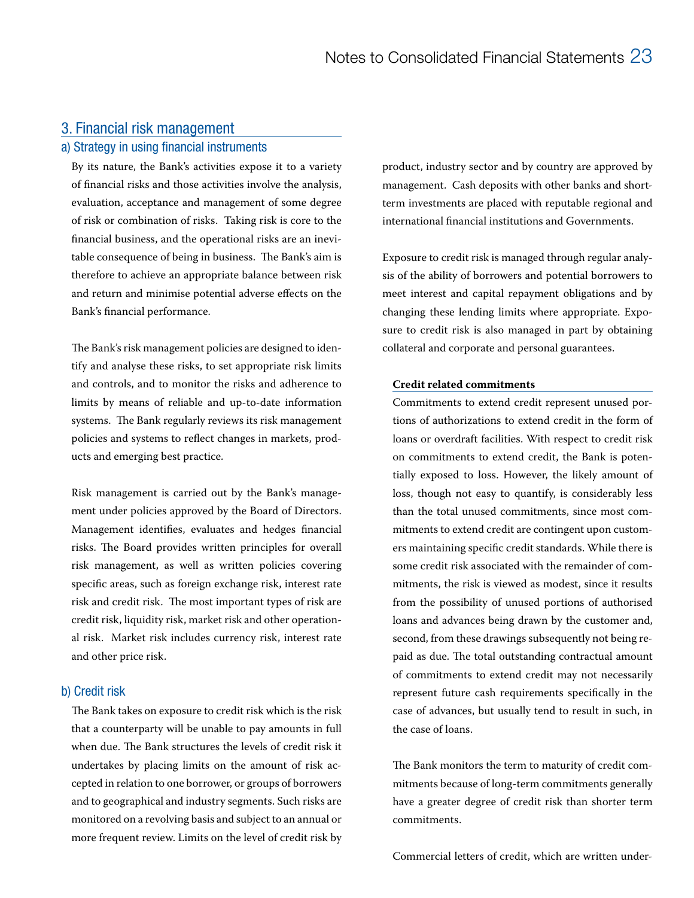#### 3. Financial risk management

#### a) Strategy in using financial instruments

By its nature, the Bank's activities expose it to a variety of financial risks and those activities involve the analysis, evaluation, acceptance and management of some degree of risk or combination of risks. Taking risk is core to the financial business, and the operational risks are an inevitable consequence of being in business. The Bank's aim is therefore to achieve an appropriate balance between risk and return and minimise potential adverse effects on the Bank's financial performance.

The Bank's risk management policies are designed to identify and analyse these risks, to set appropriate risk limits and controls, and to monitor the risks and adherence to limits by means of reliable and up-to-date information systems. The Bank regularly reviews its risk management policies and systems to reflect changes in markets, products and emerging best practice.

Risk management is carried out by the Bank's management under policies approved by the Board of Directors. Management identifies, evaluates and hedges financial risks. The Board provides written principles for overall risk management, as well as written policies covering specific areas, such as foreign exchange risk, interest rate risk and credit risk. The most important types of risk are credit risk, liquidity risk, market risk and other operational risk. Market risk includes currency risk, interest rate and other price risk.

#### b) Credit risk

The Bank takes on exposure to credit risk which is the risk that a counterparty will be unable to pay amounts in full when due. The Bank structures the levels of credit risk it undertakes by placing limits on the amount of risk accepted in relation to one borrower, or groups of borrowers and to geographical and industry segments. Such risks are monitored on a revolving basis and subject to an annual or more frequent review. Limits on the level of credit risk by

product, industry sector and by country are approved by management. Cash deposits with other banks and shortterm investments are placed with reputable regional and international financial institutions and Governments.

Exposure to credit risk is managed through regular analysis of the ability of borrowers and potential borrowers to meet interest and capital repayment obligations and by changing these lending limits where appropriate. Exposure to credit risk is also managed in part by obtaining collateral and corporate and personal guarantees.

#### **Credit related commitments**

Commitments to extend credit represent unused portions of authorizations to extend credit in the form of loans or overdraft facilities. With respect to credit risk on commitments to extend credit, the Bank is potentially exposed to loss. However, the likely amount of loss, though not easy to quantify, is considerably less than the total unused commitments, since most commitments to extend credit are contingent upon customers maintaining specific credit standards. While there is some credit risk associated with the remainder of commitments, the risk is viewed as modest, since it results from the possibility of unused portions of authorised loans and advances being drawn by the customer and, second, from these drawings subsequently not being repaid as due. The total outstanding contractual amount of commitments to extend credit may not necessarily represent future cash requirements specifically in the case of advances, but usually tend to result in such, in the case of loans.

The Bank monitors the term to maturity of credit commitments because of long-term commitments generally have a greater degree of credit risk than shorter term commitments.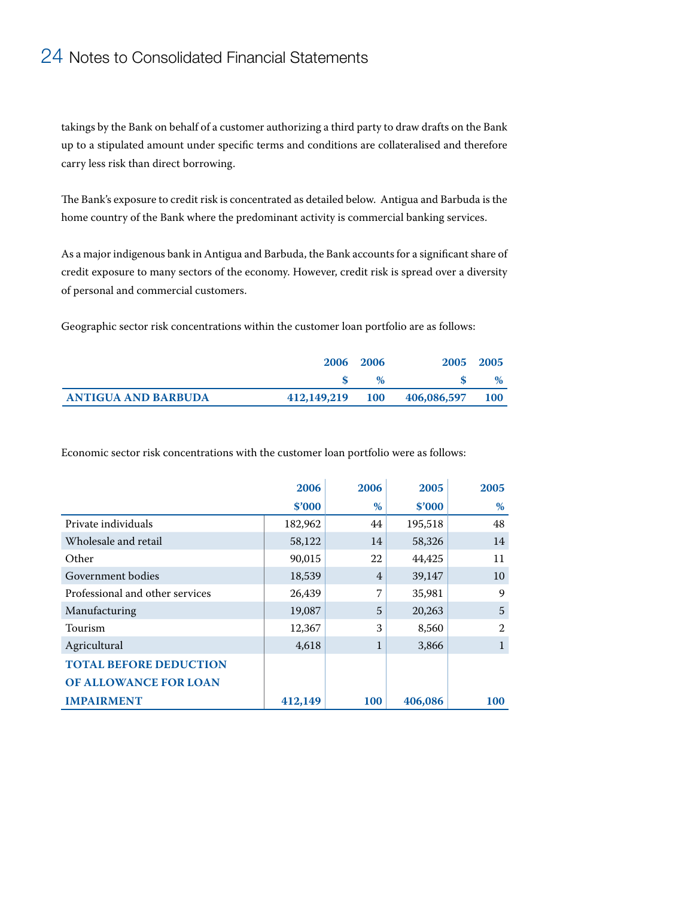# 24 Notes to Consolidated Financial Statements

takings by the Bank on behalf of a customer authorizing a third party to draw drafts on the Bank up to a stipulated amount under specific terms and conditions are collateralised and therefore carry less risk than direct borrowing.

The Bank's exposure to credit risk is concentrated as detailed below. Antigua and Barbuda is the home country of the Bank where the predominant activity is commercial banking services.

As a major indigenous bank in Antigua and Barbuda, the Bank accounts for a significant share of credit exposure to many sectors of the economy. However, credit risk is spread over a diversity of personal and commercial customers.

Geographic sector risk concentrations within the customer loan portfolio are as follows:

|                            | 2006 2006 |               | 2005 2005                       |      |
|----------------------------|-----------|---------------|---------------------------------|------|
|                            |           | $\frac{0}{6}$ |                                 | $\%$ |
| <b>ANTIGUA AND BARBUDA</b> |           |               | 412,149,219 100 406,086,597 100 |      |

Economic sector risk concentrations with the customer loan portfolio were as follows:

|                                 | 2006            | 2006       | 2005            | 2005 |
|---------------------------------|-----------------|------------|-----------------|------|
|                                 | $$^{\prime}000$ | $\%$       | $$^{\prime}000$ | $\%$ |
| Private individuals             | 182,962         | 44         | 195,518         | 48   |
| Wholesale and retail            | 58,122          | 14         | 58,326          | 14   |
| Other                           | 90,015          | 22         | 44,425          | 11   |
| Government bodies               | 18,539          | 4          | 39,147          | 10   |
| Professional and other services | 26,439          | 7          | 35,981          | 9    |
| Manufacturing                   | 19,087          | 5          | 20,263          | 5    |
| Tourism                         | 12,367          | 3          | 8,560           | 2    |
| Agricultural                    | 4,618           | 1          | 3,866           | 1    |
| <b>TOTAL BEFORE DEDUCTION</b>   |                 |            |                 |      |
| OF ALLOWANCE FOR LOAN           |                 |            |                 |      |
| <b>IMPAIRMENT</b>               | 412,149         | <b>100</b> | 406,086         | 100  |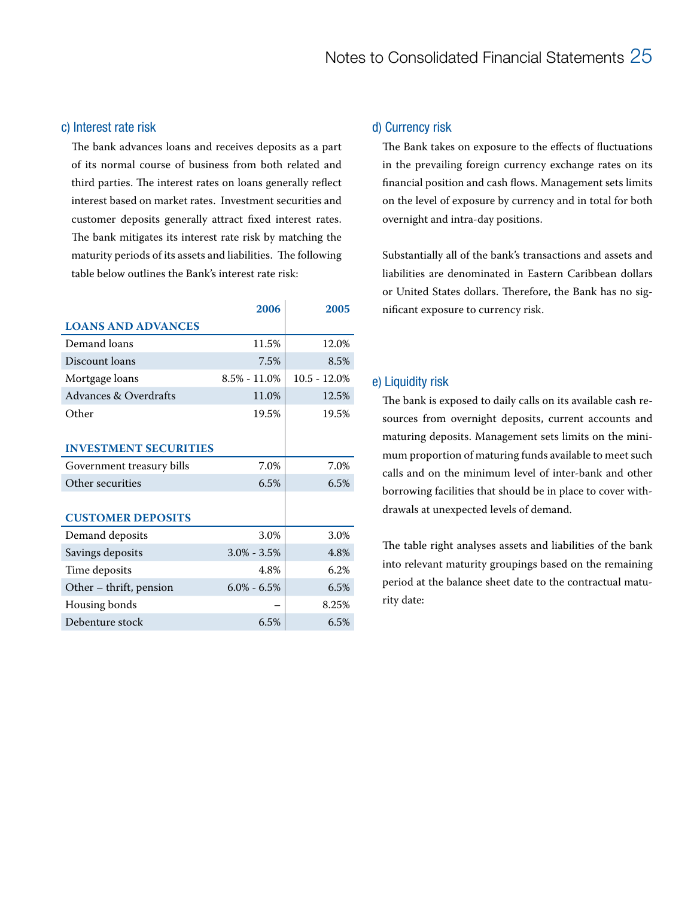#### c) Interest rate risk

The bank advances loans and receives deposits as a part of its normal course of business from both related and third parties. The interest rates on loans generally reflect interest based on market rates. Investment securities and customer deposits generally attract fixed interest rates. The bank mitigates its interest rate risk by matching the maturity periods of its assets and liabilities. The following table below outlines the Bank's interest rate risk:

 $\overline{1}$ 

| 2006             | 2005           |
|------------------|----------------|
|                  |                |
| 11.5%            | 12.0%          |
| 7.5%             | 8.5%           |
| $8.5\% - 11.0\%$ | $10.5 - 12.0%$ |
| 11.0%            | 12.5%          |
| 19.5%            | 19.5%          |
|                  |                |
|                  |                |
| 7.0%             | 7.0%           |
| 6.5%             | 6.5%           |
|                  |                |
|                  |                |
| 3.0%             | 3.0%           |
| $3.0\% - 3.5\%$  | 4.8%           |
| 4.8%             | 6.2%           |
| $6.0\% - 6.5\%$  | 6.5%           |
|                  | 8.25%          |
| 6.5%             | 6.5%           |
|                  |                |

#### d) Currency risk

The Bank takes on exposure to the effects of fluctuations in the prevailing foreign currency exchange rates on its financial position and cash flows. Management sets limits on the level of exposure by currency and in total for both overnight and intra-day positions.

Substantially all of the bank's transactions and assets and liabilities are denominated in Eastern Caribbean dollars or United States dollars. Therefore, the Bank has no significant exposure to currency risk.

#### e) Liquidity risk

The bank is exposed to daily calls on its available cash resources from overnight deposits, current accounts and maturing deposits. Management sets limits on the minimum proportion of maturing funds available to meet such calls and on the minimum level of inter-bank and other borrowing facilities that should be in place to cover withdrawals at unexpected levels of demand.

The table right analyses assets and liabilities of the bank into relevant maturity groupings based on the remaining period at the balance sheet date to the contractual maturity date: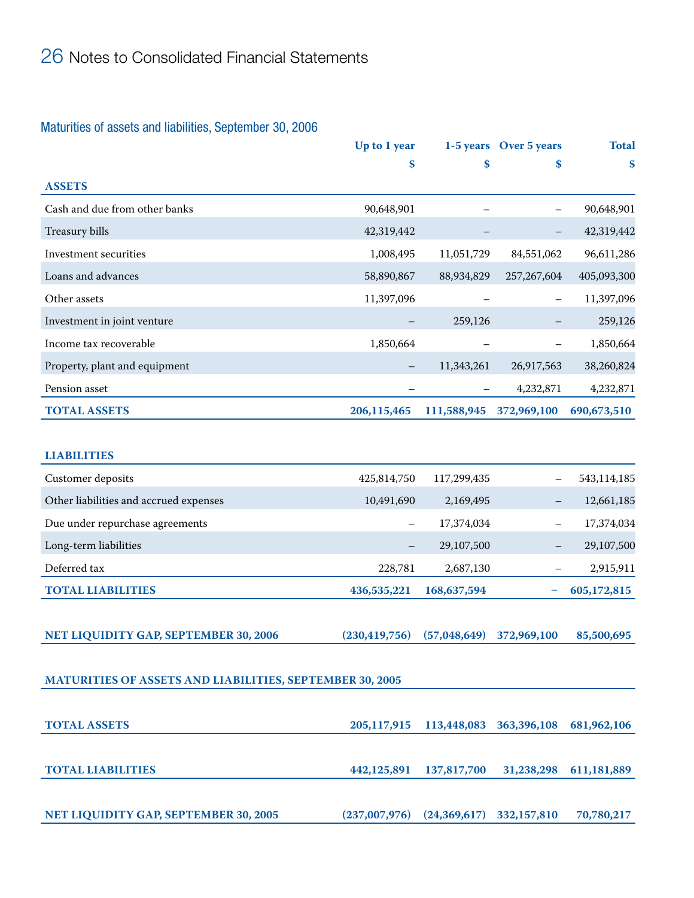## Maturities of assets and liabilities, September 30, 2006

|                                                          | Up to 1 year             |                         | 1-5 years Over 5 years   | <b>Total</b> |
|----------------------------------------------------------|--------------------------|-------------------------|--------------------------|--------------|
|                                                          | \$                       | \$                      | \$                       | \$           |
| <b>ASSETS</b>                                            |                          |                         |                          |              |
| Cash and due from other banks                            | 90,648,901               |                         |                          | 90,648,901   |
| Treasury bills                                           | 42,319,442               |                         |                          | 42,319,442   |
| Investment securities                                    | 1,008,495                | 11,051,729              | 84,551,062               | 96,611,286   |
| Loans and advances                                       | 58,890,867               | 88,934,829              | 257, 267, 604            | 405,093,300  |
| Other assets                                             | 11,397,096               |                         |                          | 11,397,096   |
| Investment in joint venture                              |                          | 259,126                 |                          | 259,126      |
| Income tax recoverable                                   | 1,850,664                |                         |                          | 1,850,664    |
| Property, plant and equipment                            | $\overline{\phantom{0}}$ | 11,343,261              | 26,917,563               | 38,260,824   |
| Pension asset                                            |                          |                         | 4,232,871                | 4,232,871    |
| <b>TOTAL ASSETS</b>                                      | 206,115,465              | 111,588,945             | 372,969,100              | 690,673,510  |
|                                                          |                          |                         |                          |              |
| <b>LIABILITIES</b>                                       |                          |                         |                          |              |
| Customer deposits                                        | 425,814,750              | 117,299,435             |                          | 543,114,185  |
| Other liabilities and accrued expenses                   | 10,491,690               | 2,169,495               |                          | 12,661,185   |
| Due under repurchase agreements                          | $\qquad \qquad -$        | 17,374,034              | $\overline{\phantom{m}}$ | 17,374,034   |
| Long-term liabilities                                    |                          | 29,107,500              |                          | 29,107,500   |
| Deferred tax                                             | 228,781                  | 2,687,130               |                          | 2,915,911    |
| <b>TOTAL LIABILITIES</b>                                 | 436,535,221              | 168,637,594             |                          | 605,172,815  |
|                                                          |                          |                         |                          |              |
| NET LIQUIDITY GAP, SEPTEMBER 30, 2006                    | (230, 419, 756)          | (57,048,649)            | 372,969,100              | 85,500,695   |
|                                                          |                          |                         |                          |              |
| MATURITIES OF ASSETS AND LIABILITIES, SEPTEMBER 30, 2005 |                          |                         |                          |              |
|                                                          |                          |                         |                          |              |
| <b>TOTAL ASSETS</b>                                      | 205, 117, 915            | 113,448,083 363,396,108 |                          | 681,962,106  |
|                                                          |                          |                         |                          |              |
| <b>TOTAL LIABILITIES</b>                                 | 442,125,891              | 137,817,700             | 31,238,298               | 611,181,889  |
|                                                          |                          |                         |                          |              |
| NET LIQUIDITY GAP, SEPTEMBER 30, 2005                    | (237,007,976)            | (24, 369, 617)          | 332,157,810              | 70,780,217   |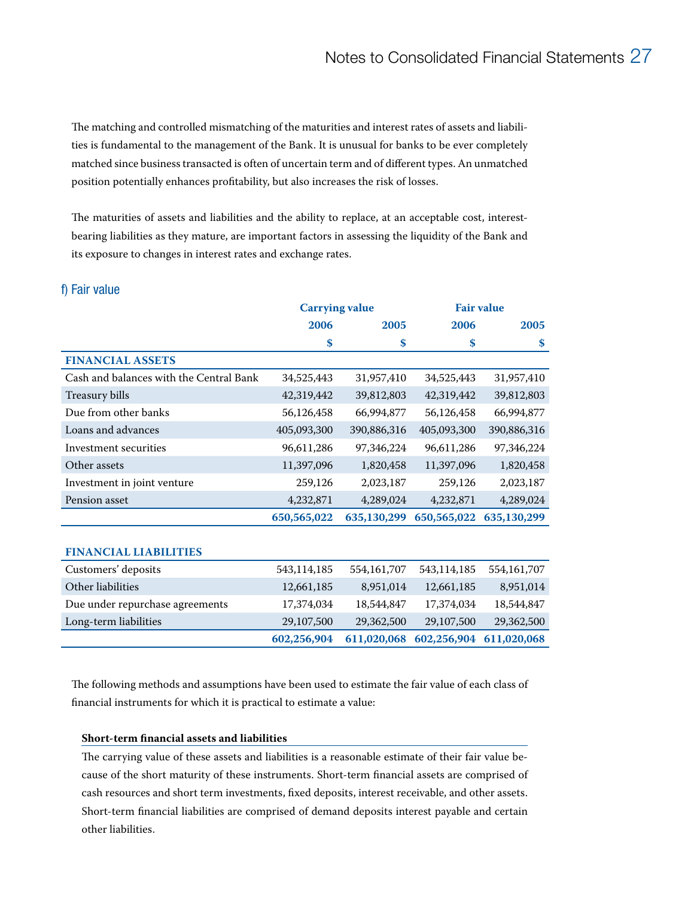The matching and controlled mismatching of the maturities and interest rates of assets and liabilities is fundamental to the management of the Bank. It is unusual for banks to be ever completely matched since business transacted is often of uncertain term and of different types. An unmatched position potentially enhances profitability, but also increases the risk of losses.

The maturities of assets and liabilities and the ability to replace, at an acceptable cost, interestbearing liabilities as they mature, are important factors in assessing the liquidity of the Bank and its exposure to changes in interest rates and exchange rates.

#### f) Fair value

|                                         | <b>Carrying value</b> |             |             | <b>Fair value</b> |
|-----------------------------------------|-----------------------|-------------|-------------|-------------------|
|                                         | 2006                  | 2005        | 2006        | 2005              |
|                                         | \$                    | \$          | \$          | \$                |
| <b>FINANCIAL ASSETS</b>                 |                       |             |             |                   |
| Cash and balances with the Central Bank | 34,525,443            | 31,957,410  | 34,525,443  | 31,957,410        |
| Treasury bills                          | 42,319,442            | 39,812,803  | 42,319,442  | 39,812,803        |
| Due from other banks                    | 56,126,458            | 66,994,877  | 56,126,458  | 66,994,877        |
| Loans and advances                      | 405,093,300           | 390,886,316 | 405,093,300 | 390,886,316       |
| Investment securities                   | 96,611,286            | 97,346,224  | 96,611,286  | 97,346,224        |
| Other assets                            | 11,397,096            | 1,820,458   | 11,397,096  | 1,820,458         |
| Investment in joint venture             | 259,126               | 2,023,187   | 259,126     | 2,023,187         |
| Pension asset                           | 4,232,871             | 4,289,024   | 4,232,871   | 4,289,024         |
|                                         | 650,565,022           | 635,130,299 | 650,565,022 | 635,130,299       |
|                                         |                       |             |             |                   |

#### **Financial liabilities**

| Customers' deposits             | 543,114,185 | 554, 161, 707 | 543,114,185                         | 554, 161, 707 |
|---------------------------------|-------------|---------------|-------------------------------------|---------------|
| Other liabilities               | 12,661,185  | 8,951,014     | 12,661,185                          | 8,951,014     |
| Due under repurchase agreements | 17,374,034  | 18,544,847    | 17,374,034                          | 18,544,847    |
| Long-term liabilities           | 29,107,500  | 29,362,500    | 29,107,500                          | 29,362,500    |
|                                 | 602,256,904 |               | 611,020,068 602,256,904 611,020,068 |               |

The following methods and assumptions have been used to estimate the fair value of each class of financial instruments for which it is practical to estimate a value:

#### **Short-term financial assets and liabilities**

The carrying value of these assets and liabilities is a reasonable estimate of their fair value because of the short maturity of these instruments. Short-term financial assets are comprised of cash resources and short term investments, fixed deposits, interest receivable, and other assets. Short-term financial liabilities are comprised of demand deposits interest payable and certain other liabilities.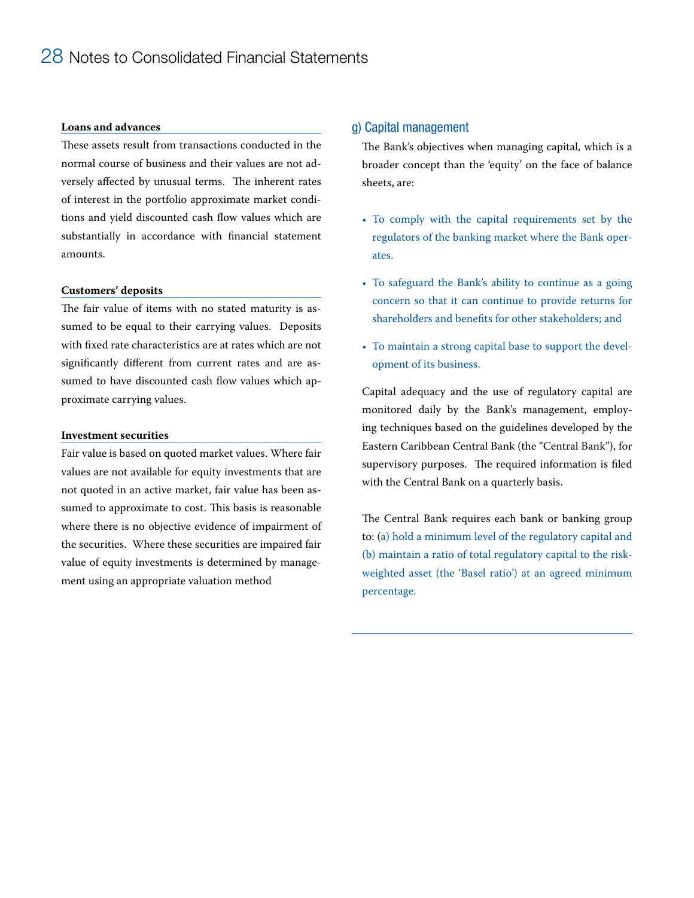#### **Loans and advances**

These assets result from transactions conducted in the normal course of business and their values are not adversely affected by unusual terms. The inherent rates of interest in the portfolio approximate market conditions and yield discounted cash flow values which are substantially in accordance with financial statement amounts.

#### **Customers' deposits**

The fair value of items with no stated maturity is assumed to be equal to their carrying values. Deposits with fixed rate characteristics are at rates which are not significantly different from current rates and are assumed to have discounted cash flow values which approximate carrying values.

#### **Investment securities**

Fair value is based on quoted market values. Where fair values are not available for equity investments that are not quoted in an active market, fair value has been assumed to approximate to cost. This basis is reasonable where there is no objective evidence of impairment of the securities. Where these securities are impaired fair value of equity investments is determined by management using an appropriate valuation method

#### g) Capital management

The Bank's objectives when managing capital, which is a broader concept than the 'equity' on the face of balance sheets, are:

- • To comply with the capital requirements set by the regulators of the banking market where the Bank operates.
- To safeguard the Bank's ability to continue as a going concern so that it can continue to provide returns for shareholders and benefits for other stakeholders; and
- To maintain a strong capital base to support the development of its business.

Capital adequacy and the use of regulatory capital are monitored daily by the Bank's management, employing techniques based on the guidelines developed by the Eastern Caribbean Central Bank (the "Central Bank"), for supervisory purposes. The required information is filed with the Central Bank on a quarterly basis.

The Central Bank requires each bank or banking group to: (a) hold a minimum level of the regulatory capital and (b) maintain a ratio of total regulatory capital to the riskweighted asset (the 'Basel ratio') at an agreed minimum percentage.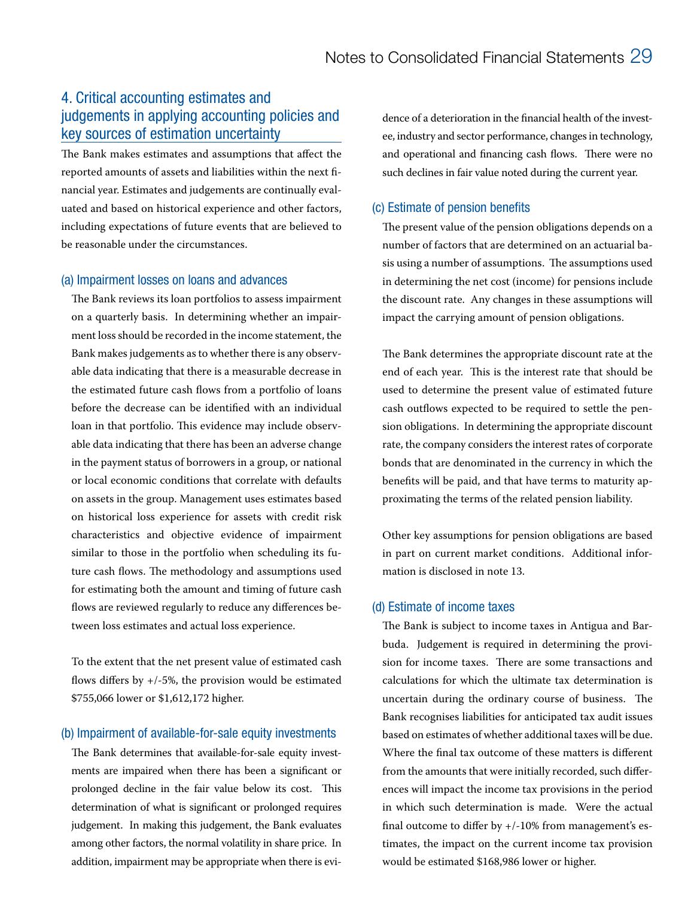# 4. Critical accounting estimates and judgements in applying accounting policies and key sources of estimation uncertainty

The Bank makes estimates and assumptions that affect the reported amounts of assets and liabilities within the next financial year. Estimates and judgements are continually evaluated and based on historical experience and other factors, including expectations of future events that are believed to be reasonable under the circumstances.

#### (a) Impairment losses on loans and advances

The Bank reviews its loan portfolios to assess impairment on a quarterly basis. In determining whether an impairment loss should be recorded in the income statement, the Bank makes judgements as to whether there is any observable data indicating that there is a measurable decrease in the estimated future cash flows from a portfolio of loans before the decrease can be identified with an individual loan in that portfolio. This evidence may include observable data indicating that there has been an adverse change in the payment status of borrowers in a group, or national or local economic conditions that correlate with defaults on assets in the group. Management uses estimates based on historical loss experience for assets with credit risk characteristics and objective evidence of impairment similar to those in the portfolio when scheduling its future cash flows. The methodology and assumptions used for estimating both the amount and timing of future cash flows are reviewed regularly to reduce any differences between loss estimates and actual loss experience.

To the extent that the net present value of estimated cash flows differs by  $+/-5%$ , the provision would be estimated \$755,066 lower or \$1,612,172 higher.

#### (b) Impairment of available-for-sale equity investments

The Bank determines that available-for-sale equity investments are impaired when there has been a significant or prolonged decline in the fair value below its cost. This determination of what is significant or prolonged requires judgement. In making this judgement, the Bank evaluates among other factors, the normal volatility in share price. In addition, impairment may be appropriate when there is evidence of a deterioration in the financial health of the investee, industry and sector performance, changes in technology, and operational and financing cash flows. There were no such declines in fair value noted during the current year.

#### (c) Estimate of pension benefits

The present value of the pension obligations depends on a number of factors that are determined on an actuarial basis using a number of assumptions. The assumptions used in determining the net cost (income) for pensions include the discount rate. Any changes in these assumptions will impact the carrying amount of pension obligations.

The Bank determines the appropriate discount rate at the end of each year. This is the interest rate that should be used to determine the present value of estimated future cash outflows expected to be required to settle the pension obligations. In determining the appropriate discount rate, the company considers the interest rates of corporate bonds that are denominated in the currency in which the benefits will be paid, and that have terms to maturity approximating the terms of the related pension liability.

Other key assumptions for pension obligations are based in part on current market conditions. Additional information is disclosed in note 13.

#### (d) Estimate of income taxes

The Bank is subject to income taxes in Antigua and Barbuda. Judgement is required in determining the provision for income taxes. There are some transactions and calculations for which the ultimate tax determination is uncertain during the ordinary course of business. The Bank recognises liabilities for anticipated tax audit issues based on estimates of whether additional taxes will be due. Where the final tax outcome of these matters is different from the amounts that were initially recorded, such differences will impact the income tax provisions in the period in which such determination is made. Were the actual final outcome to differ by +/-10% from management's estimates, the impact on the current income tax provision would be estimated \$168,986 lower or higher.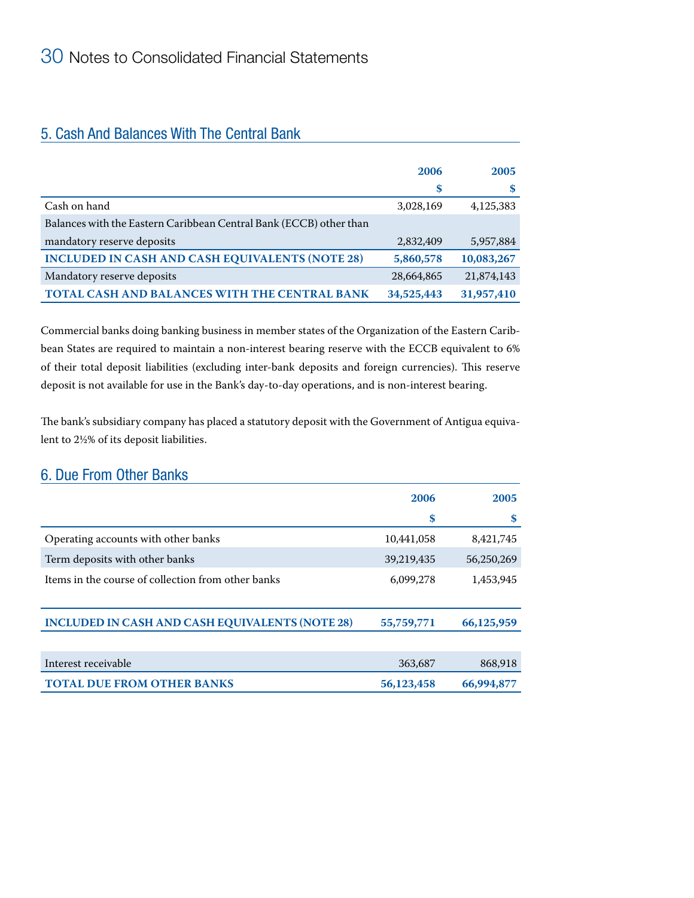# 5. Cash And Balances With The Central Bank

|                                                                    | 2006       | 2005       |
|--------------------------------------------------------------------|------------|------------|
|                                                                    | S          | S          |
| Cash on hand                                                       | 3,028,169  | 4,125,383  |
| Balances with the Eastern Caribbean Central Bank (ECCB) other than |            |            |
| mandatory reserve deposits                                         | 2,832,409  | 5,957,884  |
| <b>INCLUDED IN CASH AND CASH EQUIVALENTS (NOTE 28)</b>             | 5,860,578  | 10,083,267 |
| Mandatory reserve deposits                                         | 28,664,865 | 21,874,143 |
| <b>TOTAL CASH AND BALANCES WITH THE CENTRAL BANK</b>               | 34,525,443 | 31,957,410 |

Commercial banks doing banking business in member states of the Organization of the Eastern Caribbean States are required to maintain a non-interest bearing reserve with the ECCB equivalent to 6% of their total deposit liabilities (excluding inter-bank deposits and foreign currencies). This reserve deposit is not available for use in the Bank's day-to-day operations, and is non-interest bearing.

The bank's subsidiary company has placed a statutory deposit with the Government of Antigua equivalent to 2½% of its deposit liabilities.

# 6. Due From Other Banks

|                                                        | 2006       | 2005       |
|--------------------------------------------------------|------------|------------|
|                                                        | \$         | S          |
| Operating accounts with other banks                    | 10,441,058 | 8,421,745  |
| Term deposits with other banks                         | 39,219,435 | 56,250,269 |
| Items in the course of collection from other banks     | 6,099,278  | 1,453,945  |
|                                                        |            |            |
| <b>INCLUDED IN CASH AND CASH EQUIVALENTS (NOTE 28)</b> | 55,759,771 | 66,125,959 |
|                                                        |            |            |
| Interest receivable                                    | 363,687    | 868,918    |
| <b>TOTAL DUE FROM OTHER BANKS</b>                      | 56,123,458 | 66,994,877 |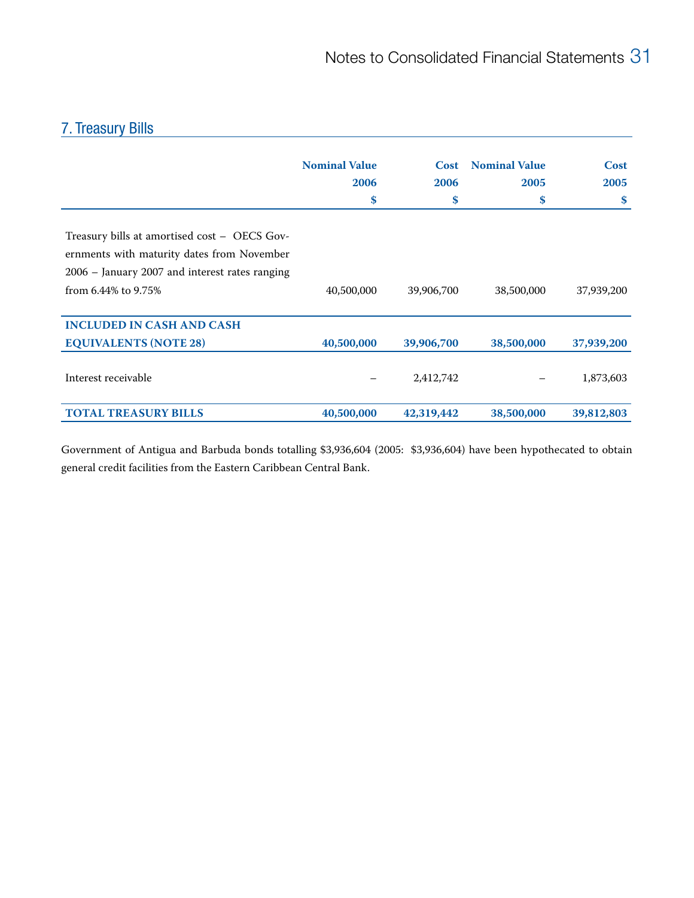# 7. Treasury Bills

|                                                                                                                                                                       | <b>Nominal Value</b><br>2006<br>\$ | Cost<br>2006<br>\$ | <b>Nominal Value</b><br>2005<br>\$ | Cost<br>2005<br>\$ |
|-----------------------------------------------------------------------------------------------------------------------------------------------------------------------|------------------------------------|--------------------|------------------------------------|--------------------|
| Treasury bills at amortised cost – OECS Gov-<br>ernments with maturity dates from November<br>$2006$ – January 2007 and interest rates ranging<br>from 6.44% to 9.75% | 40,500,000                         | 39,906,700         | 38,500,000                         | 37,939,200         |
| <b>INCLUDED IN CASH AND CASH</b><br><b>EQUIVALENTS (NOTE 28)</b>                                                                                                      | 40,500,000                         | 39,906,700         | 38,500,000                         | 37,939,200         |
| Interest receivable                                                                                                                                                   |                                    | 2,412,742          |                                    | 1,873,603          |
| <b>TOTAL TREASURY BILLS</b>                                                                                                                                           | 40,500,000                         | 42,319,442         | 38,500,000                         | 39,812,803         |

Government of Antigua and Barbuda bonds totalling \$3,936,604 (2005: \$3,936,604) have been hypothecated to obtain general credit facilities from the Eastern Caribbean Central Bank.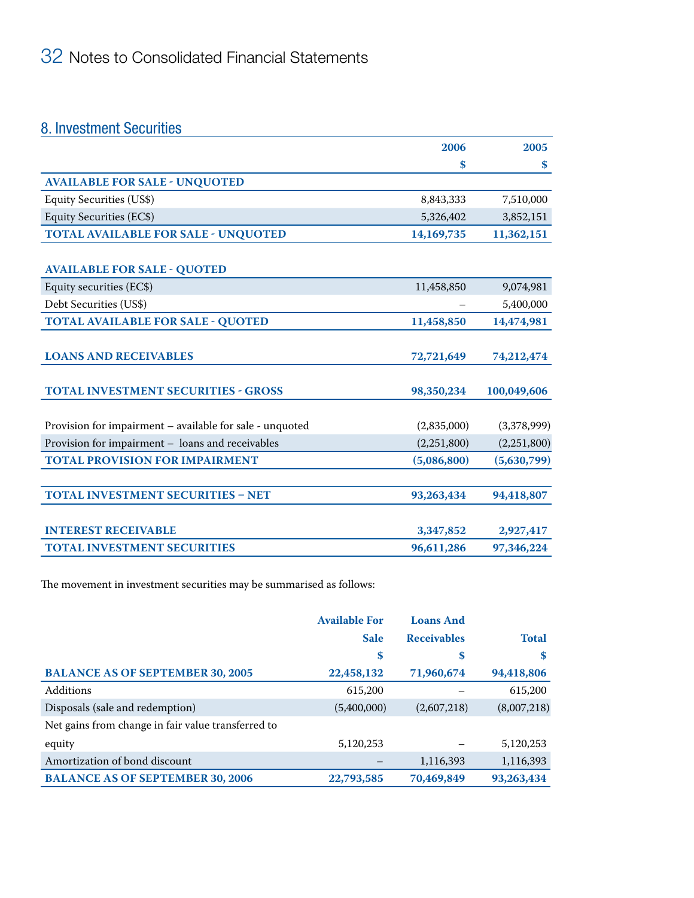# 8. Investment Securities

|                                                          | 2006        | 2005        |
|----------------------------------------------------------|-------------|-------------|
|                                                          | \$          | \$          |
| <b>AVAILABLE FOR SALE - UNQUOTED</b>                     |             |             |
| Equity Securities (US\$)                                 | 8,843,333   | 7,510,000   |
| Equity Securities (EC\$)                                 | 5,326,402   | 3,852,151   |
| <b>TOTAL AVAILABLE FOR SALE - UNQUOTED</b>               | 14,169,735  | 11,362,151  |
|                                                          |             |             |
| <b>AVAILABLE FOR SALE - QUOTED</b>                       |             |             |
| Equity securities (EC\$)                                 | 11,458,850  | 9,074,981   |
| Debt Securities (US\$)                                   |             | 5,400,000   |
| <b>TOTAL AVAILABLE FOR SALE - QUOTED</b>                 | 11,458,850  | 14,474,981  |
|                                                          |             |             |
| <b>LOANS AND RECEIVABLES</b>                             | 72,721,649  | 74,212,474  |
|                                                          |             |             |
| <b>TOTAL INVESTMENT SECURITIES - GROSS</b>               | 98,350,234  | 100,049,606 |
|                                                          |             |             |
| Provision for impairment – available for sale - unquoted | (2,835,000) | (3,378,999) |
| Provision for impairment - loans and receivables         | (2,251,800) | (2,251,800) |
| <b>TOTAL PROVISION FOR IMPAIRMENT</b>                    | (5,086,800) | (5,630,799) |
|                                                          |             |             |
| <b>TOTAL INVESTMENT SECURITIES - NET</b>                 | 93,263,434  | 94,418,807  |
|                                                          |             |             |
| <b>INTEREST RECEIVABLE</b>                               | 3,347,852   | 2,927,417   |
| <b>TOTAL INVESTMENT SECURITIES</b>                       | 96,611,286  | 97,346,224  |

The movement in investment securities may be summarised as follows:

|                                                    | <b>Available For</b> | <b>Loans And</b>   |              |
|----------------------------------------------------|----------------------|--------------------|--------------|
|                                                    | <b>Sale</b>          | <b>Receivables</b> | <b>Total</b> |
|                                                    | \$                   | \$                 | -S           |
| <b>BALANCE AS OF SEPTEMBER 30, 2005</b>            | 22,458,132           | 71,960,674         | 94,418,806   |
| Additions                                          | 615,200              |                    | 615,200      |
| Disposals (sale and redemption)                    | (5,400,000)          | (2,607,218)        | (8,007,218)  |
| Net gains from change in fair value transferred to |                      |                    |              |
| equity                                             | 5,120,253            |                    | 5,120,253    |
| Amortization of bond discount                      |                      | 1,116,393          | 1,116,393    |
| <b>BALANCE AS OF SEPTEMBER 30, 2006</b>            | 22,793,585           | 70,469,849         | 93,263,434   |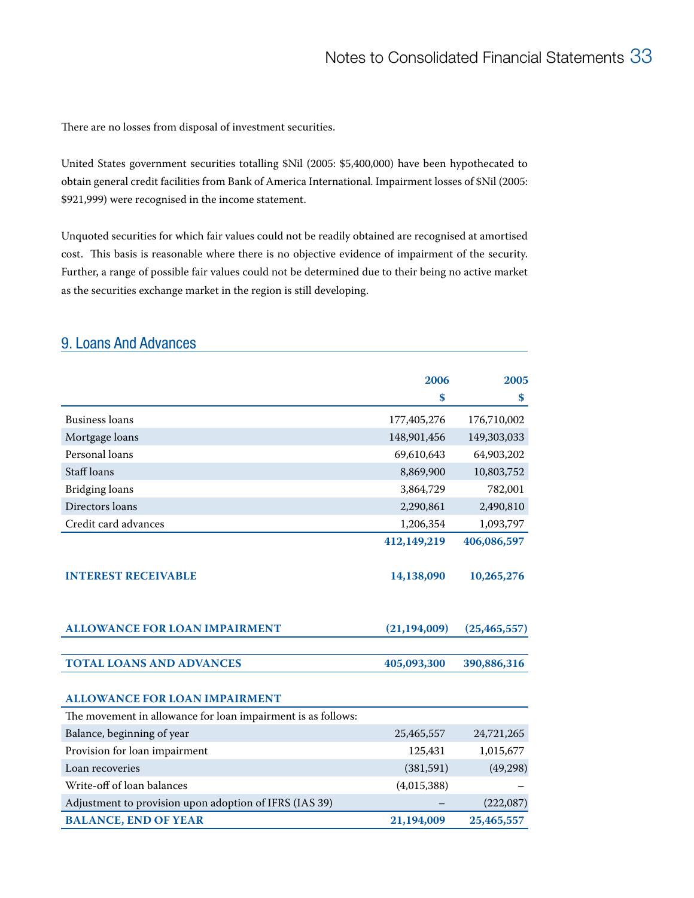There are no losses from disposal of investment securities.

United States government securities totalling \$Nil (2005: \$5,400,000) have been hypothecated to obtain general credit facilities from Bank of America International. Impairment losses of \$Nil (2005: \$921,999) were recognised in the income statement.

Unquoted securities for which fair values could not be readily obtained are recognised at amortised cost. This basis is reasonable where there is no objective evidence of impairment of the security. Further, a range of possible fair values could not be determined due to their being no active market as the securities exchange market in the region is still developing.

## 9. Loans And Advances

|                                                              | 2006           | 2005           |
|--------------------------------------------------------------|----------------|----------------|
|                                                              | \$             | \$             |
| <b>Business loans</b>                                        | 177,405,276    | 176,710,002    |
| Mortgage loans                                               | 148,901,456    | 149,303,033    |
| Personal loans                                               | 69,610,643     | 64,903,202     |
| Staff loans                                                  | 8,869,900      | 10,803,752     |
| <b>Bridging loans</b>                                        | 3,864,729      | 782,001        |
| Directors loans                                              | 2,290,861      | 2,490,810      |
| Credit card advances                                         | 1,206,354      | 1,093,797      |
|                                                              | 412,149,219    | 406,086,597    |
| <b>INTEREST RECEIVABLE</b>                                   | 14,138,090     | 10,265,276     |
| <b>ALLOWANCE FOR LOAN IMPAIRMENT</b>                         | (21, 194, 009) | (25, 465, 557) |
| <b>TOTAL LOANS AND ADVANCES</b>                              | 405,093,300    | 390,886,316    |
| <b>ALLOWANCE FOR LOAN IMPAIRMENT</b>                         |                |                |
| The movement in allowance for loan impairment is as follows: |                |                |
| Balance, beginning of year                                   | 25,465,557     | 24,721,265     |
| Provision for loan impairment                                | 125,431        | 1,015,677      |
| Loan recoveries                                              | (381, 591)     | (49, 298)      |
| Write-off of loan balances                                   | (4,015,388)    |                |
| Adjustment to provision upon adoption of IFRS (IAS 39)       |                | (222,087)      |
| <b>BALANCE, END OF YEAR</b>                                  | 21,194,009     | 25,465,557     |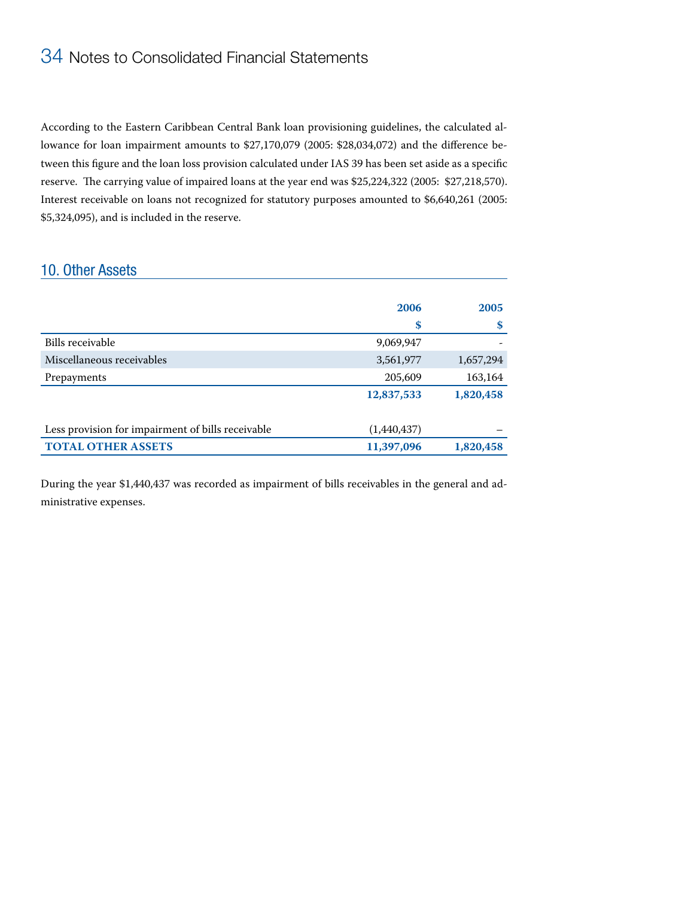# 34 Notes to Consolidated Financial Statements

According to the Eastern Caribbean Central Bank loan provisioning guidelines, the calculated allowance for loan impairment amounts to \$27,170,079 (2005: \$28,034,072) and the difference between this figure and the loan loss provision calculated under IAS 39 has been set aside as a specific reserve. The carrying value of impaired loans at the year end was \$25,224,322 (2005: \$27,218,570). Interest receivable on loans not recognized for statutory purposes amounted to \$6,640,261 (2005: \$5,324,095), and is included in the reserve.

# 10. Other Assets

|                                                   | 2006<br>S   | 2005      |
|---------------------------------------------------|-------------|-----------|
| Bills receivable                                  | 9,069,947   |           |
| Miscellaneous receivables                         | 3,561,977   | 1,657,294 |
| Prepayments                                       | 205,609     | 163,164   |
|                                                   | 12,837,533  | 1,820,458 |
| Less provision for impairment of bills receivable | (1,440,437) |           |
| <b>TOTAL OTHER ASSETS</b>                         | 11,397,096  | 1,820,458 |

During the year \$1,440,437 was recorded as impairment of bills receivables in the general and administrative expenses.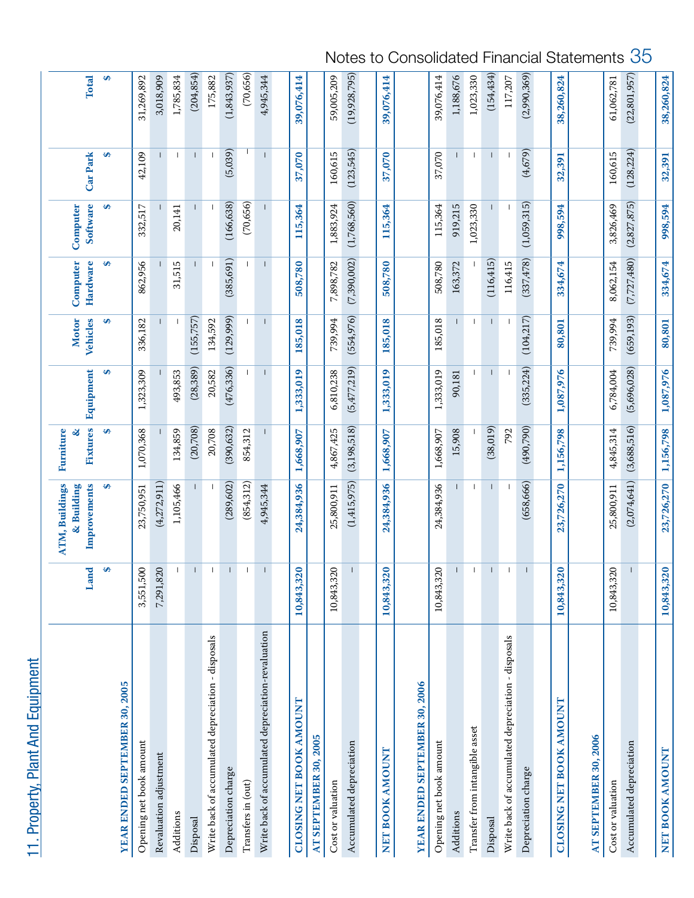11. Property, Plant And Equipment 11. Property, Plant And Equipment

|                                                    | <b>I</b><br><u>a</u>     | ATM, Buildings<br>Improvements<br>& Building | <b>Fixtures</b><br>Furniture | Equipment    | Motor<br>Vehicles | Computer<br>Hardware | Computer<br>Software | Car Park     | <b>Total</b>   |
|----------------------------------------------------|--------------------------|----------------------------------------------|------------------------------|--------------|-------------------|----------------------|----------------------|--------------|----------------|
| YEAR ENDED SEPTEMBER 30, 2005                      | ¢                        | ₩                                            | Đ                            | Đ            | Đ                 | ¢                    | Đ                    | Đ            | Đ              |
| Opening net book amount                            | 3,551,500                | 23,750,951                                   | 1,070,368                    | 1,323,309    | 336,182           | 862,956              | 332,517              | 42,109       | 31,269,892     |
| Revaluation adjustment                             | 7,291,820                | (4,272,911)                                  |                              |              |                   |                      |                      |              | 3,018,909      |
| Additions                                          |                          | 1,105,466                                    | 134,859                      | 493,853      |                   | $31,\!515$           | 20,141               | $\mathbf{I}$ | 1,785,834      |
| Disposal                                           | $\mathsf{I}$             |                                              | (20, 708)                    | (28, 389)    | (155, 757)        |                      |                      | $\mathsf{l}$ | (204, 854)     |
| Write back of accumulated depreciation - disposals | $\mathbf{I}$             |                                              | 20,708                       | 20,582       | 134,592           | $\mathbf{I}$         |                      | $\mathbf{I}$ | 175,882        |
| Depreciation charge                                | $\mathbf{I}$             | (289, 602)                                   | (390, 632)                   | (476, 336)   | (129, 999)        | (385, 691)           | (166, 638)           | (5,039)      | (1,843,937)    |
| Transfers in (out)                                 | $\mathsf{I}$             | (854, 312)                                   | 854,312                      |              |                   |                      | (70, 656)            |              | (70, 656)      |
| Write back of accumulated depreciation-revaluation | $\mathsf{I}$             | 4,945,344                                    |                              |              |                   |                      |                      |              | 4,945,344      |
| <b>CLOSING NET BOOK AMOUNT</b>                     | 10,843,320               | 24,384,936                                   | 1,668,907                    | 1,333,019    | 185,018           | 508,780              | 115,364              | 37,070       | 39,076,414     |
| 2005<br>30,<br><b>AT SEPTEMBER</b>                 |                          |                                              |                              |              |                   |                      |                      |              |                |
| Cost or valuation                                  | 320<br>10,843,           | 25,800,911                                   | 4,867,425                    | 6,810,238    | 739,994           | 7,898,782            | 1,883,924            | 160,615      | 59,005,209     |
| Accumulated depreciation                           |                          | (1,415,975)                                  | (3, 198, 518)                | (5,477,219)  | (554, 976)        | (7,390,002)          | (1,768,560)          | (123,545)    | (19,928,795)   |
|                                                    |                          |                                              |                              |              |                   |                      |                      |              |                |
| NET BOOK AMOUNT                                    | 320<br>10,843,           | 24,384,936                                   | 1,668,907                    | 1,333,019    | 185,018           | 508,780              | 115,364              | 37,070       | 39,076,414     |
| YEAR ENDED SEPTEMBER 30, 2006                      |                          |                                              |                              |              |                   |                      |                      |              |                |
| Opening net book amount                            | 320<br>10,843,           | 24,384,936                                   | 1,668,907                    | 1,333,019    | 185,018           | 508,780              | 115,364              | 37,070       | 39,076,414     |
| Additions                                          |                          |                                              | 15,908                       | 90,181       | $\mathsf{I}$      | 163,372              | 919,215              |              | 1,188,676      |
| Transfer from intangible asset                     | $\mathbf{I}$             | $\mathbf{I}$                                 |                              | $\mathbf{I}$ | $\mathbf{I}$      |                      | 1,023,330            | $\mathbf{I}$ | 1,023,330      |
| Disposal                                           | $\mathsf{I}$             | Т.                                           | (38, 019)                    | I            | -1                | (116, 415)           |                      | $\mathsf{I}$ | (154, 434)     |
| Write back of accumulated depreciation - disposals | $\mathbf{I}$             |                                              | 792                          |              |                   | 116,415              |                      |              | 117,207        |
| Depreciation charge                                | $\overline{\phantom{a}}$ | (658, 666)                                   | (490, 790)                   | (335, 224)   | (104, 217)        | (337, 478)           | (1,059,315)          | (4,679)      | (2,990,369)    |
|                                                    |                          |                                              |                              |              |                   |                      |                      |              |                |
| <b>CLOSING NET BOOK AMOUNT</b>                     | 10,843,320               | 23,726,270                                   | 1,156,798                    | 1,087,976    | 80,801            | 334,674              | 998,594              | 32,391       | 38,260,824     |
| AT SEPTEMBER 30, 2006                              |                          |                                              |                              |              |                   |                      |                      |              |                |
| Cost or valuation                                  | 10,843,320               | 25,800,911                                   | 4,845,314                    | 6,784,004    | 739,994           | 8,062,154            | 3,826,469            | 160,615      | 61,062,781     |
| Accumulated depreciation                           | $\mathsf{I}$             | (2,074,641)                                  | (3,688,516)                  | (5,696,028)  | (659, 193)        | (7,727,480)          | (2,827,875)          | (128, 224)   | (22, 801, 957) |
|                                                    |                          |                                              |                              |              |                   |                      |                      |              |                |
| NET BOOK AMOUNT                                    | 10,843,320               | 23,726,270                                   | 1,156,798                    | 1,087,976    | 80,801            | 334,674              | 998,594              | 32,391       | 38,260,824     |

# Notes to Consolidated Financial Statements 35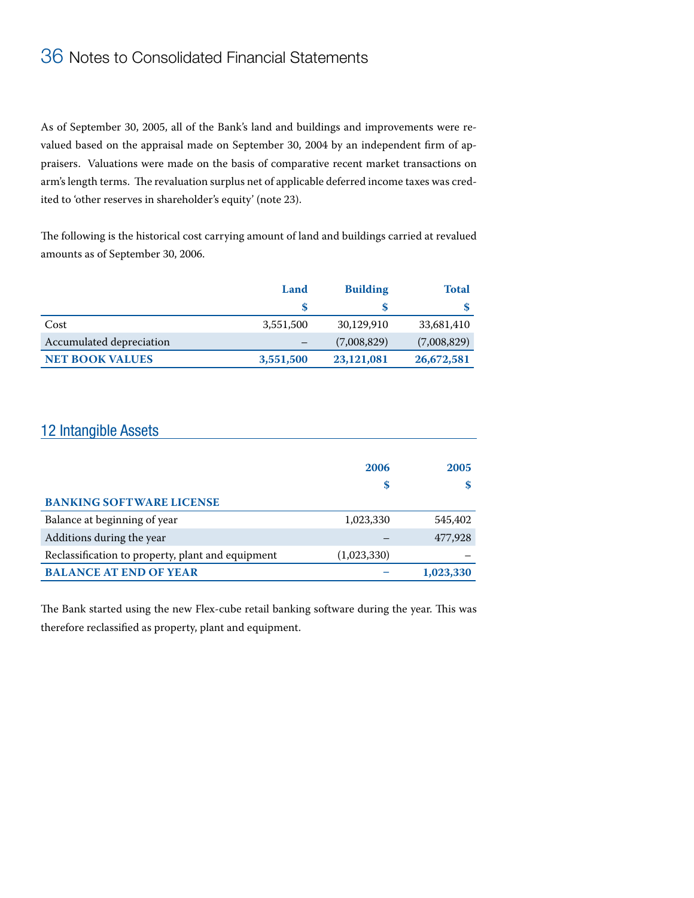# 36 Notes to Consolidated Financial Statements

As of September 30, 2005, all of the Bank's land and buildings and improvements were revalued based on the appraisal made on September 30, 2004 by an independent firm of appraisers. Valuations were made on the basis of comparative recent market transactions on arm's length terms. The revaluation surplus net of applicable deferred income taxes was credited to 'other reserves in shareholder's equity' (note 23).

The following is the historical cost carrying amount of land and buildings carried at revalued amounts as of September 30, 2006.

|                          | Land                     | <b>Building</b> | <b>Total</b> |
|--------------------------|--------------------------|-----------------|--------------|
|                          |                          |                 |              |
| Cost                     | 3,551,500                | 30,129,910      | 33,681,410   |
| Accumulated depreciation | $\overline{\phantom{0}}$ | (7,008,829)     | (7,008,829)  |
| <b>NET BOOK VALUES</b>   | 3,551,500                | 23,121,081      | 26,672,581   |

## 12 Intangible Assets

|                                                   | 2006        | 2005      |
|---------------------------------------------------|-------------|-----------|
|                                                   | \$          |           |
| <b>BANKING SOFTWARE LICENSE</b>                   |             |           |
| Balance at beginning of year                      | 1,023,330   | 545,402   |
| Additions during the year                         |             | 477,928   |
| Reclassification to property, plant and equipment | (1,023,330) |           |
| <b>BALANCE AT END OF YEAR</b>                     |             | 1,023,330 |

The Bank started using the new Flex-cube retail banking software during the year. This was therefore reclassified as property, plant and equipment.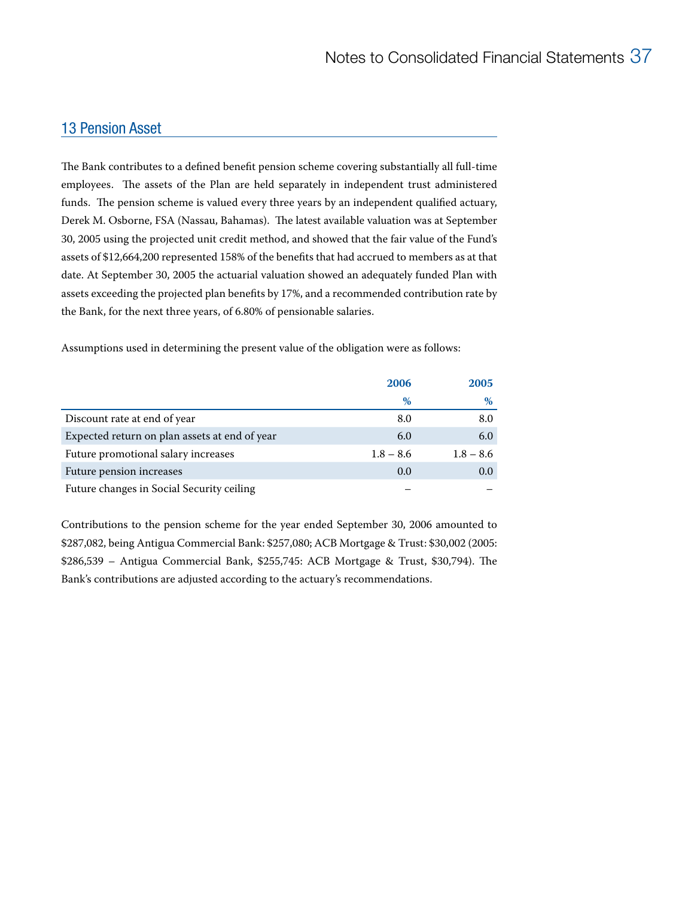## 13 Pension Asset

The Bank contributes to a defined benefit pension scheme covering substantially all full-time employees. The assets of the Plan are held separately in independent trust administered funds. The pension scheme is valued every three years by an independent qualified actuary, Derek M. Osborne, FSA (Nassau, Bahamas). The latest available valuation was at September 30, 2005 using the projected unit credit method, and showed that the fair value of the Fund's assets of \$12,664,200 represented 158% of the benefits that had accrued to members as at that date. At September 30, 2005 the actuarial valuation showed an adequately funded Plan with assets exceeding the projected plan benefits by 17%, and a recommended contribution rate by the Bank, for the next three years, of 6.80% of pensionable salaries.

Assumptions used in determining the present value of the obligation were as follows:

|                                               | 2006        | 2005        |
|-----------------------------------------------|-------------|-------------|
|                                               | $\%$        | $\%$        |
| Discount rate at end of year                  | 8.0         | 8.0         |
| Expected return on plan assets at end of year | 6.0         | 6.0         |
| Future promotional salary increases           | $1.8 - 8.6$ | $1.8 - 8.6$ |
| Future pension increases                      | 0.0         | 0.0         |
| Future changes in Social Security ceiling     |             |             |

Contributions to the pension scheme for the year ended September 30, 2006 amounted to \$287,082, being Antigua Commercial Bank: \$257,080; ACB Mortgage & Trust: \$30,002 (2005: \$286,539 – Antigua Commercial Bank, \$255,745: ACB Mortgage & Trust, \$30,794). The Bank's contributions are adjusted according to the actuary's recommendations.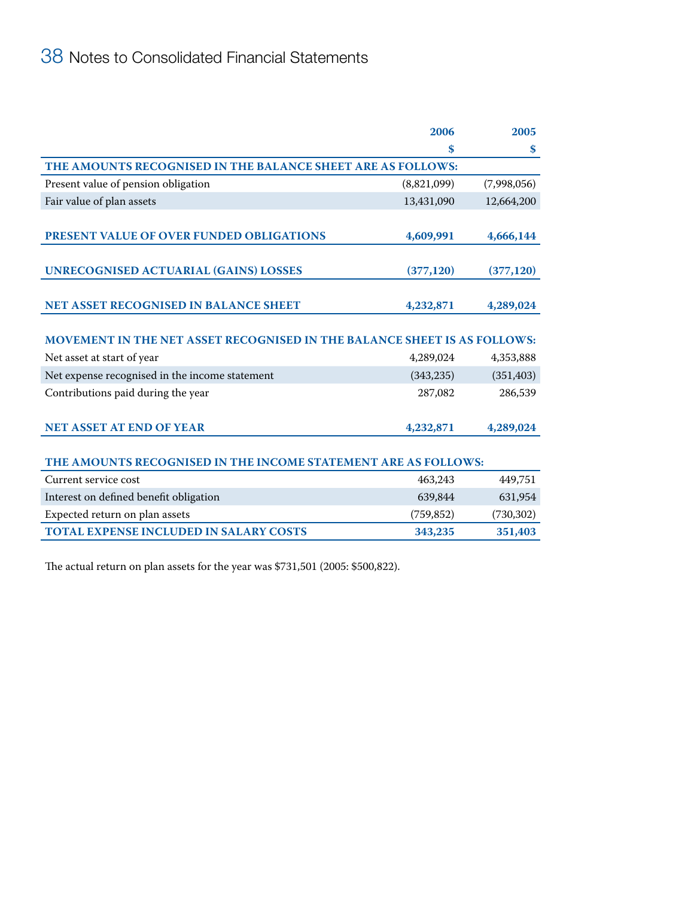# 38 Notes to Consolidated Financial Statements

|                                                                                 | 2006        | 2005        |
|---------------------------------------------------------------------------------|-------------|-------------|
|                                                                                 | \$          | \$          |
| THE AMOUNTS RECOGNISED IN THE BALANCE SHEET ARE AS FOLLOWS:                     |             |             |
| Present value of pension obligation                                             | (8,821,099) | (7,998,056) |
| Fair value of plan assets                                                       | 13,431,090  | 12,664,200  |
|                                                                                 |             |             |
| PRESENT VALUE OF OVER FUNDED OBLIGATIONS                                        | 4,609,991   | 4,666,144   |
|                                                                                 |             |             |
| <b>UNRECOGNISED ACTUARIAL (GAINS) LOSSES</b>                                    | (377, 120)  | (377, 120)  |
|                                                                                 |             |             |
| NET ASSET RECOGNISED IN BALANCE SHEET                                           | 4,232,871   | 4,289,024   |
|                                                                                 |             |             |
| <b>MOVEMENT IN THE NET ASSET RECOGNISED IN THE BALANCE SHEET IS AS FOLLOWS:</b> |             |             |
| Net asset at start of year                                                      | 4,289,024   | 4,353,888   |
| Net expense recognised in the income statement                                  | (343, 235)  | (351, 403)  |
| Contributions paid during the year                                              | 287,082     | 286,539     |
|                                                                                 |             |             |
| <b>NET ASSET AT END OF YEAR</b>                                                 | 4,232,871   | 4,289,024   |
|                                                                                 |             |             |
| THE AMOUNTS RECOGNISED IN THE INCOME STATEMENT ARE AS FOLLOWS:                  |             |             |
| Current service cost                                                            | 463,243     | 449,751     |
| Interest on defined benefit obligation                                          | 639,844     | 631,954     |
| Expected return on plan assets                                                  | (759, 852)  | (730, 302)  |
| <b>TOTAL EXPENSE INCLUDED IN SALARY COSTS</b>                                   | 343,235     | 351,403     |

The actual return on plan assets for the year was \$731,501 (2005: \$500,822).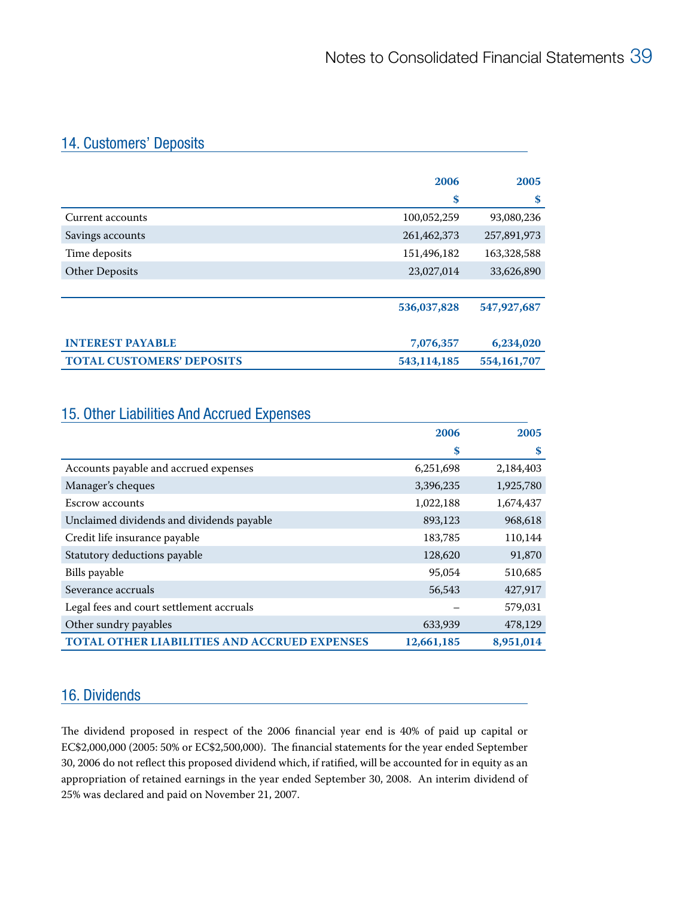# 14. Customers' Deposits

|                                  | 2006          | 2005          |
|----------------------------------|---------------|---------------|
|                                  | \$            | \$            |
| Current accounts                 | 100,052,259   | 93,080,236    |
| Savings accounts                 | 261,462,373   | 257,891,973   |
| Time deposits                    | 151,496,182   | 163,328,588   |
| <b>Other Deposits</b>            | 23,027,014    | 33,626,890    |
|                                  |               |               |
|                                  | 536,037,828   | 547,927,687   |
|                                  |               |               |
| <b>INTEREST PAYABLE</b>          | 7,076,357     | 6,234,020     |
| <b>TOTAL CUSTOMERS' DEPOSITS</b> | 543, 114, 185 | 554, 161, 707 |

# 15. Other Liabilities And Accrued Expenses

|                                                     | 2006       | 2005      |
|-----------------------------------------------------|------------|-----------|
|                                                     | S          | S         |
| Accounts payable and accrued expenses               | 6,251,698  | 2,184,403 |
| Manager's cheques                                   | 3,396,235  | 1,925,780 |
| Escrow accounts                                     | 1,022,188  | 1,674,437 |
| Unclaimed dividends and dividends payable           | 893,123    | 968,618   |
| Credit life insurance payable                       | 183,785    | 110,144   |
| Statutory deductions payable                        | 128,620    | 91,870    |
| Bills payable                                       | 95,054     | 510,685   |
| Severance accruals                                  | 56,543     | 427,917   |
| Legal fees and court settlement accruals            |            | 579,031   |
| Other sundry payables                               | 633,939    | 478,129   |
| <b>TOTAL OTHER LIABILITIES AND ACCRUED EXPENSES</b> | 12,661,185 | 8,951,014 |

## 16. Dividends

The dividend proposed in respect of the 2006 financial year end is 40% of paid up capital or EC\$2,000,000 (2005: 50% or EC\$2,500,000). The financial statements for the year ended September 30, 2006 do not reflect this proposed dividend which, if ratified, will be accounted for in equity as an appropriation of retained earnings in the year ended September 30, 2008. An interim dividend of 25% was declared and paid on November 21, 2007.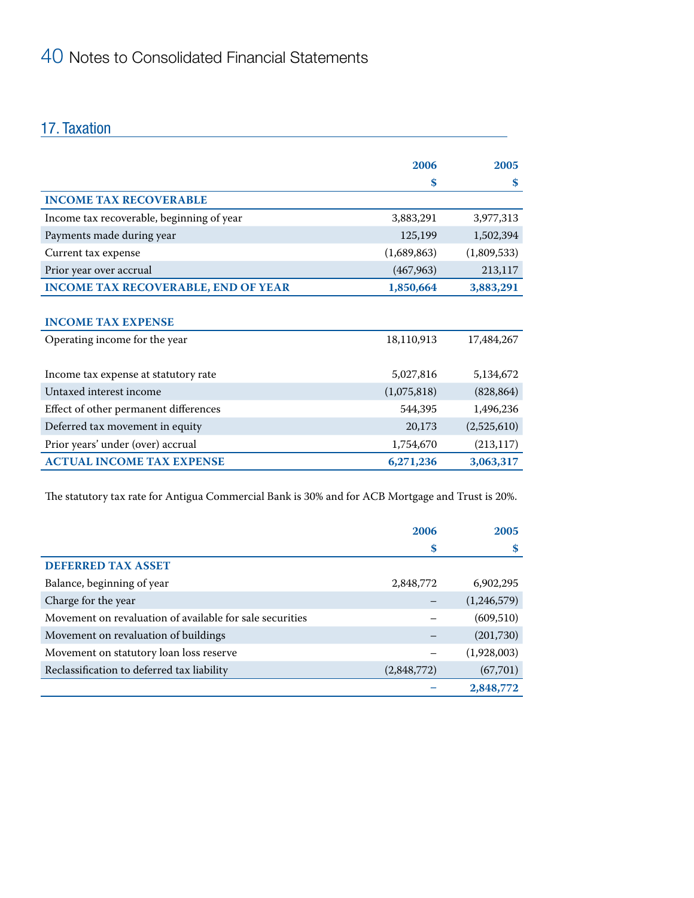# 17. Taxation

|                                            | 2006        | 2005        |
|--------------------------------------------|-------------|-------------|
|                                            | \$          | \$          |
| <b>INCOME TAX RECOVERABLE</b>              |             |             |
| Income tax recoverable, beginning of year  | 3,883,291   | 3,977,313   |
| Payments made during year                  | 125,199     | 1,502,394   |
| Current tax expense                        | (1,689,863) | (1,809,533) |
| Prior year over accrual                    | (467, 963)  | 213,117     |
| <b>INCOME TAX RECOVERABLE, END OF YEAR</b> | 1,850,664   | 3,883,291   |
| <b>INCOME TAX EXPENSE</b>                  |             |             |
| Operating income for the year              | 18,110,913  | 17,484,267  |
| Income tax expense at statutory rate       | 5,027,816   | 5,134,672   |
| Untaxed interest income                    | (1,075,818) | (828, 864)  |
| Effect of other permanent differences      | 544,395     | 1,496,236   |
| Deferred tax movement in equity            | 20,173      | (2,525,610) |
| Prior years' under (over) accrual          | 1,754,670   | (213, 117)  |
| <b>ACTUAL INCOME TAX EXPENSE</b>           | 6,271,236   | 3,063,317   |

The statutory tax rate for Antigua Commercial Bank is 30% and for ACB Mortgage and Trust is 20%.

|                                                          | 2006        | 2005        |
|----------------------------------------------------------|-------------|-------------|
|                                                          | S           |             |
| <b>DEFERRED TAX ASSET</b>                                |             |             |
| Balance, beginning of year                               | 2,848,772   | 6,902,295   |
| Charge for the year                                      |             | (1,246,579) |
| Movement on revaluation of available for sale securities |             | (609, 510)  |
| Movement on revaluation of buildings                     |             | (201, 730)  |
| Movement on statutory loan loss reserve                  |             | (1,928,003) |
| Reclassification to deferred tax liability               | (2,848,772) | (67,701)    |
|                                                          |             | 2,848,772   |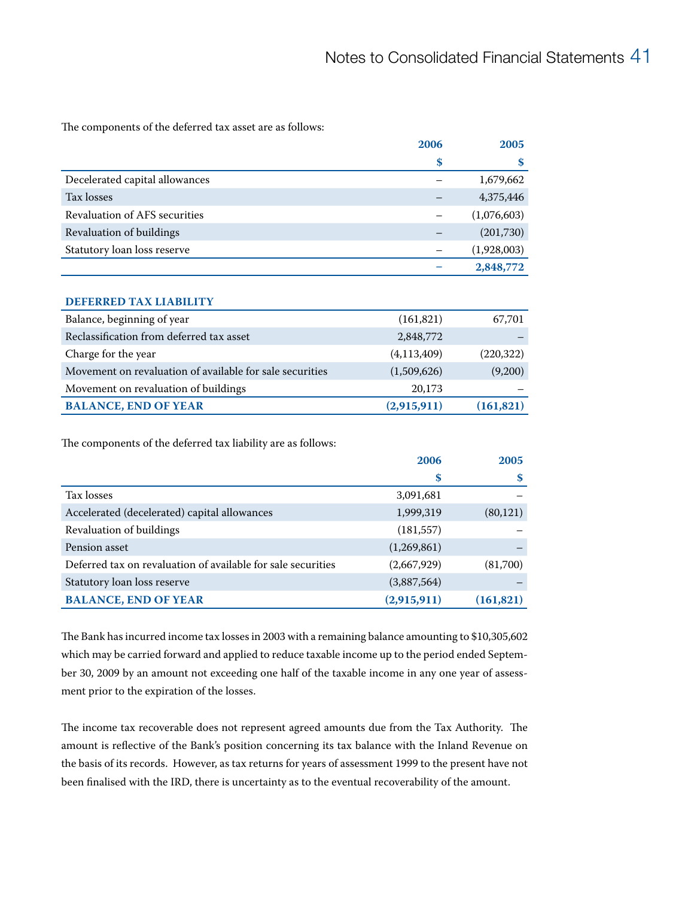The components of the deferred tax asset are as follows:

|                                | 2006 | 2005        |
|--------------------------------|------|-------------|
|                                | S    |             |
| Decelerated capital allowances |      | 1,679,662   |
| Tax losses                     |      | 4,375,446   |
| Revaluation of AFS securities  |      | (1,076,603) |
| Revaluation of buildings       |      | (201, 730)  |
| Statutory loan loss reserve    |      | (1,928,003) |
|                                |      | 2,848,772   |

#### **Deferred tax liability**

| Balance, beginning of year                               | (161, 821)    | 67,701     |
|----------------------------------------------------------|---------------|------------|
| Reclassification from deferred tax asset                 | 2,848,772     |            |
| Charge for the year                                      | (4, 113, 409) | (220, 322) |
| Movement on revaluation of available for sale securities | (1,509,626)   | (9,200)    |
| Movement on revaluation of buildings                     | 20,173        |            |
| <b>BALANCE, END OF YEAR</b>                              | (2,915,911)   | (161, 821) |

The components of the deferred tax liability are as follows:

|                                                              | 2006        | 2005       |
|--------------------------------------------------------------|-------------|------------|
|                                                              | \$          | S          |
| Tax losses                                                   | 3,091,681   |            |
| Accelerated (decelerated) capital allowances                 | 1,999,319   | (80, 121)  |
| Revaluation of buildings                                     | (181, 557)  |            |
| Pension asset                                                | (1,269,861) |            |
| Deferred tax on revaluation of available for sale securities | (2,667,929) | (81,700)   |
| Statutory loan loss reserve                                  | (3,887,564) |            |
| <b>BALANCE, END OF YEAR</b>                                  | (2,915,911) | (161, 821) |

The Bank has incurred income tax losses in 2003 with a remaining balance amounting to \$10,305,602 which may be carried forward and applied to reduce taxable income up to the period ended September 30, 2009 by an amount not exceeding one half of the taxable income in any one year of assessment prior to the expiration of the losses.

The income tax recoverable does not represent agreed amounts due from the Tax Authority. The amount is reflective of the Bank's position concerning its tax balance with the Inland Revenue on the basis of its records. However, as tax returns for years of assessment 1999 to the present have not been finalised with the IRD, there is uncertainty as to the eventual recoverability of the amount.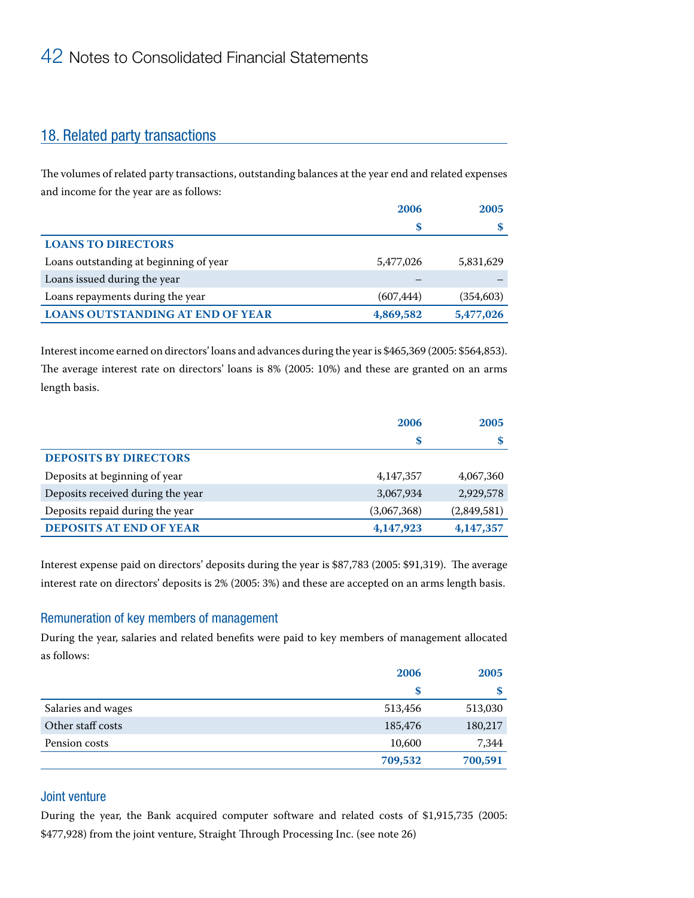# 18. Related party transactions

The volumes of related party transactions, outstanding balances at the year end and related expenses and income for the year are as follows:

|                                         | 2006       | 2005       |
|-----------------------------------------|------------|------------|
|                                         | S          |            |
| <b>LOANS TO DIRECTORS</b>               |            |            |
| Loans outstanding at beginning of year  | 5,477,026  | 5,831,629  |
| Loans issued during the year            |            |            |
| Loans repayments during the year        | (607, 444) | (354, 603) |
| <b>LOANS OUTSTANDING AT END OF YEAR</b> | 4,869,582  | 5,477,026  |

Interest income earned on directors' loans and advances during the year is \$465,369 (2005: \$564,853). The average interest rate on directors' loans is 8% (2005: 10%) and these are granted on an arms length basis.

|                                   | 2006        | 2005        |
|-----------------------------------|-------------|-------------|
|                                   | S           |             |
| <b>DEPOSITS BY DIRECTORS</b>      |             |             |
| Deposits at beginning of year     | 4,147,357   | 4,067,360   |
| Deposits received during the year | 3,067,934   | 2,929,578   |
| Deposits repaid during the year   | (3,067,368) | (2,849,581) |
| <b>DEPOSITS AT END OF YEAR</b>    | 4,147,923   | 4, 147, 357 |

Interest expense paid on directors' deposits during the year is \$87,783 (2005: \$91,319). The average interest rate on directors' deposits is 2% (2005: 3%) and these are accepted on an arms length basis.

#### Remuneration of key members of management

During the year, salaries and related benefits were paid to key members of management allocated as follows:

|                    | 2006    | 2005    |
|--------------------|---------|---------|
|                    | S       | ъ       |
| Salaries and wages | 513,456 | 513,030 |
| Other staff costs  | 185,476 | 180,217 |
| Pension costs      | 10,600  | 7,344   |
|                    | 709,532 | 700,591 |

#### Joint venture

During the year, the Bank acquired computer software and related costs of \$1,915,735 (2005: \$477,928) from the joint venture, Straight Through Processing Inc. (see note 26)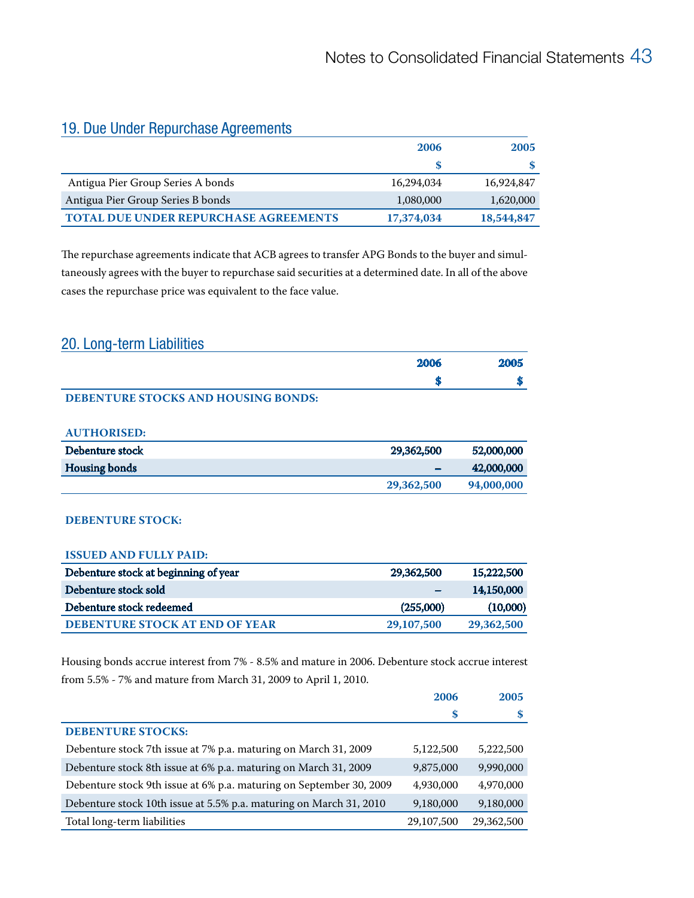# 19. Due Under Repurchase Agreements

|                                              | 2006       | 2005       |
|----------------------------------------------|------------|------------|
|                                              |            |            |
| Antigua Pier Group Series A bonds            | 16,294,034 | 16,924,847 |
| Antigua Pier Group Series B bonds            | 1,080,000  | 1,620,000  |
| <b>TOTAL DUE UNDER REPURCHASE AGREEMENTS</b> | 17,374,034 | 18,544,847 |

The repurchase agreements indicate that ACB agrees to transfer APG Bonds to the buyer and simultaneously agrees with the buyer to repurchase said securities at a determined date. In all of the above cases the repurchase price was equivalent to the face value.

## 20. Long-term Liabilities

|                                            | 2006 | 2005 |
|--------------------------------------------|------|------|
|                                            |      |      |
| <b>DEBENTURE STOCKS AND HOUSING BONDS:</b> |      |      |

#### **Authorised:**

| 29,362,500<br>94,000,000      |            |
|-------------------------------|------------|
| Housing bonds<br>-            | 42,000,000 |
| Debenture stock<br>29,362,500 | 52,000,000 |

#### **Debenture stock:**

#### **Issued and fully paid:**

| Debenture stock at beginning of year | 29,362,500 | 15,222,500 |
|--------------------------------------|------------|------------|
| Debenture stock sold                 |            | 14,150,000 |
| Debenture stock redeemed             | (255,000)  | (10,000)   |
| DEBENTURE STOCK AT END OF YEAR       | 29,107,500 | 29,362,500 |

Housing bonds accrue interest from 7% - 8.5% and mature in 2006. Debenture stock accrue interest from 5.5% - 7% and mature from March 31, 2009 to April 1, 2010.

|                                                                     | 2006       | 2005       |
|---------------------------------------------------------------------|------------|------------|
|                                                                     | S          | -S         |
| <b>DEBENTURE STOCKS:</b>                                            |            |            |
| Debenture stock 7th issue at 7% p.a. maturing on March 31, 2009     | 5,122,500  | 5,222,500  |
| Debenture stock 8th issue at 6% p.a. maturing on March 31, 2009     | 9,875,000  | 9,990,000  |
| Debenture stock 9th issue at 6% p.a. maturing on September 30, 2009 | 4,930,000  | 4,970,000  |
| Debenture stock 10th issue at 5.5% p.a. maturing on March 31, 2010  | 9,180,000  | 9,180,000  |
| Total long-term liabilities                                         | 29,107,500 | 29,362,500 |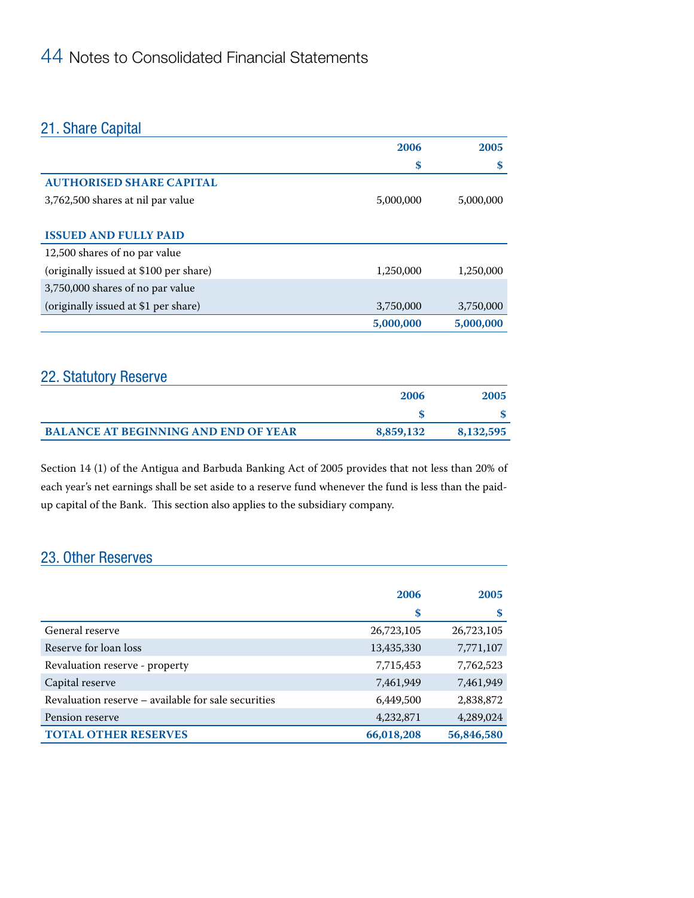# 21. Share Capital

|                                        | 2006      | 2005      |
|----------------------------------------|-----------|-----------|
|                                        | \$        | \$        |
| <b>AUTHORISED SHARE CAPITAL</b>        |           |           |
| 3,762,500 shares at nil par value      | 5,000,000 | 5,000,000 |
|                                        |           |           |
| <b>ISSUED AND FULLY PAID</b>           |           |           |
| 12,500 shares of no par value          |           |           |
| (originally issued at \$100 per share) | 1,250,000 | 1,250,000 |
| 3,750,000 shares of no par value       |           |           |
| (originally issued at \$1 per share)   | 3,750,000 | 3,750,000 |
|                                        | 5,000,000 | 5,000,000 |
|                                        |           |           |

# 22. Statutory Reserve

|                                             | 2006      | 2005      |
|---------------------------------------------|-----------|-----------|
|                                             |           |           |
| <b>BALANCE AT BEGINNING AND END OF YEAR</b> | 8,859,132 | 8,132,595 |

Section 14 (1) of the Antigua and Barbuda Banking Act of 2005 provides that not less than 20% of each year's net earnings shall be set aside to a reserve fund whenever the fund is less than the paidup capital of the Bank. This section also applies to the subsidiary company.

# 23. Other Reserves

|                                                     | 2006       | 2005       |
|-----------------------------------------------------|------------|------------|
|                                                     | \$         | \$         |
| General reserve                                     | 26,723,105 | 26,723,105 |
| Reserve for loan loss                               | 13,435,330 | 7,771,107  |
| Revaluation reserve - property                      | 7,715,453  | 7,762,523  |
| Capital reserve                                     | 7,461,949  | 7,461,949  |
| Revaluation reserve – available for sale securities | 6,449,500  | 2,838,872  |
| Pension reserve                                     | 4,232,871  | 4,289,024  |
| <b>TOTAL OTHER RESERVES</b>                         | 66,018,208 | 56,846,580 |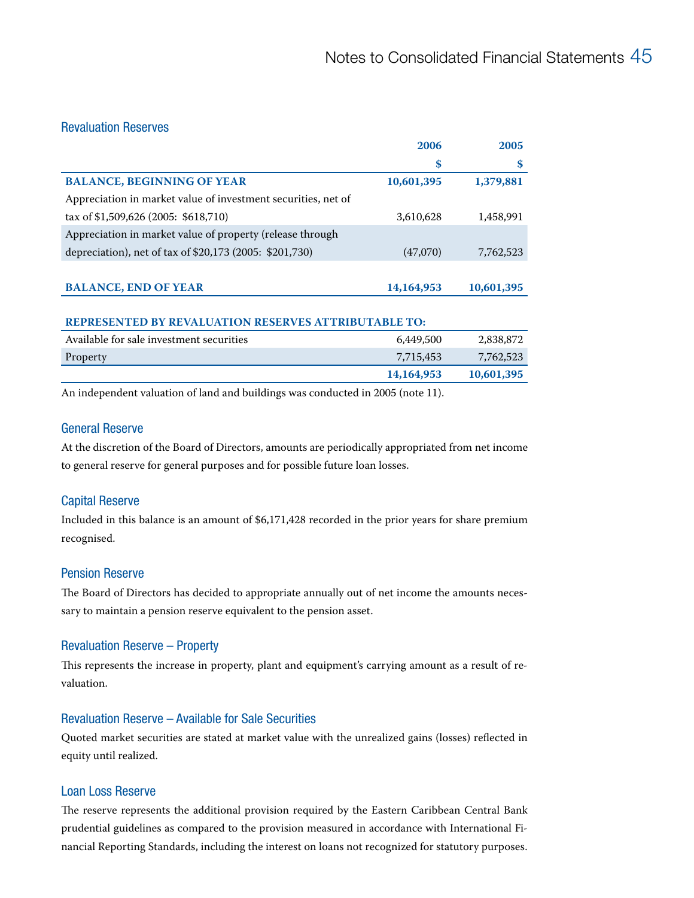#### Revaluation Reserves

|                                                               | 2006         | 2005       |
|---------------------------------------------------------------|--------------|------------|
|                                                               | \$           |            |
| <b>BALANCE, BEGINNING OF YEAR</b>                             | 10,601,395   | 1,379,881  |
| Appreciation in market value of investment securities, net of |              |            |
| tax of \$1,509,626 (2005: \$618,710)                          | 3,610,628    | 1,458,991  |
| Appreciation in market value of property (release through     |              |            |
| depreciation), net of tax of \$20,173 (2005: \$201,730)       | (47,070)     | 7,762,523  |
|                                                               |              |            |
| <b>BALANCE, END OF YEAR</b>                                   | 14, 164, 953 | 10,601,395 |

| <b>REPRESENTED BY REVALUATION RESERVES ATTRIBUTABLE TO:</b> |            |            |
|-------------------------------------------------------------|------------|------------|
| Available for sale investment securities                    | 6.449.500  | 2,838,872  |
| Property                                                    | 7,715,453  | 7,762,523  |
|                                                             | 14,164,953 | 10,601,395 |
|                                                             |            |            |

An independent valuation of land and buildings was conducted in 2005 (note 11).

#### General Reserve

At the discretion of the Board of Directors, amounts are periodically appropriated from net income to general reserve for general purposes and for possible future loan losses.

#### Capital Reserve

Included in this balance is an amount of \$6,171,428 recorded in the prior years for share premium recognised.

#### Pension Reserve

The Board of Directors has decided to appropriate annually out of net income the amounts necessary to maintain a pension reserve equivalent to the pension asset.

#### Revaluation Reserve – Property

This represents the increase in property, plant and equipment's carrying amount as a result of revaluation.

#### Revaluation Reserve – Available for Sale Securities

Quoted market securities are stated at market value with the unrealized gains (losses) reflected in equity until realized.

#### Loan Loss Reserve

The reserve represents the additional provision required by the Eastern Caribbean Central Bank prudential guidelines as compared to the provision measured in accordance with International Financial Reporting Standards, including the interest on loans not recognized for statutory purposes.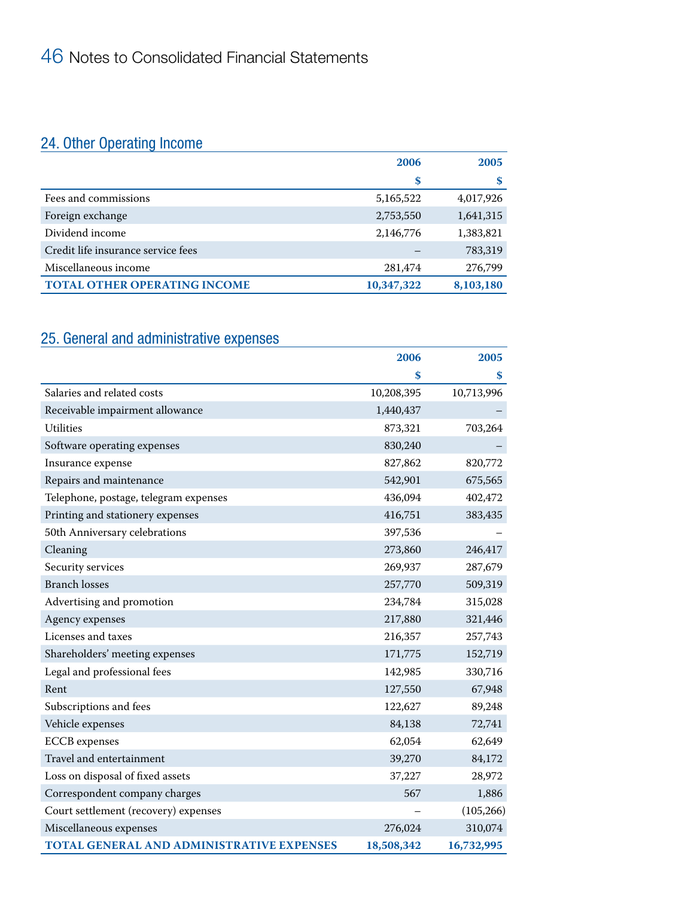# 24. Other Operating Income

|                                     | 2006       | 2005      |
|-------------------------------------|------------|-----------|
|                                     | \$         | S         |
| Fees and commissions                | 5,165,522  | 4,017,926 |
| Foreign exchange                    | 2,753,550  | 1,641,315 |
| Dividend income                     | 2,146,776  | 1,383,821 |
| Credit life insurance service fees  |            | 783,319   |
| Miscellaneous income                | 281,474    | 276,799   |
| <b>TOTAL OTHER OPERATING INCOME</b> | 10,347,322 | 8,103,180 |

# 25. General and administrative expenses

|                                           | 2006       | 2005       |
|-------------------------------------------|------------|------------|
|                                           | \$         | \$         |
| Salaries and related costs                | 10,208,395 | 10,713,996 |
| Receivable impairment allowance           | 1,440,437  |            |
| <b>Utilities</b>                          | 873,321    | 703,264    |
| Software operating expenses               | 830,240    |            |
| Insurance expense                         | 827,862    | 820,772    |
| Repairs and maintenance                   | 542,901    | 675,565    |
| Telephone, postage, telegram expenses     | 436,094    | 402,472    |
| Printing and stationery expenses          | 416,751    | 383,435    |
| 50th Anniversary celebrations             | 397,536    |            |
| Cleaning                                  | 273,860    | 246,417    |
| Security services                         | 269,937    | 287,679    |
| <b>Branch losses</b>                      | 257,770    | 509,319    |
| Advertising and promotion                 | 234,784    | 315,028    |
| Agency expenses                           | 217,880    | 321,446    |
| Licenses and taxes                        | 216,357    | 257,743    |
| Shareholders' meeting expenses            | 171,775    | 152,719    |
| Legal and professional fees               | 142,985    | 330,716    |
| Rent                                      | 127,550    | 67,948     |
| Subscriptions and fees                    | 122,627    | 89,248     |
| Vehicle expenses                          | 84,138     | 72,741     |
| <b>ECCB</b> expenses                      | 62,054     | 62,649     |
| Travel and entertainment                  | 39,270     | 84,172     |
| Loss on disposal of fixed assets          | 37,227     | 28,972     |
| Correspondent company charges             | 567        | 1,886      |
| Court settlement (recovery) expenses      |            | (105, 266) |
| Miscellaneous expenses                    | 276,024    | 310,074    |
| TOTAL GENERAL AND ADMINISTRATIVE EXPENSES | 18,508,342 | 16,732,995 |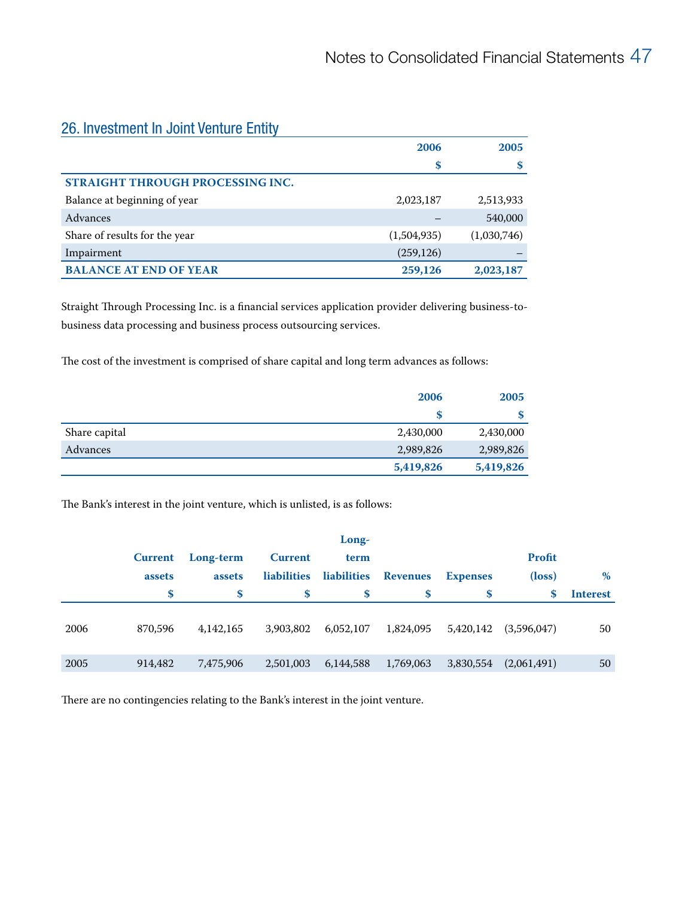# 26. Investment In Joint Venture Entity

|                                         | 2006        | 2005        |
|-----------------------------------------|-------------|-------------|
|                                         | \$          | S           |
| <b>STRAIGHT THROUGH PROCESSING INC.</b> |             |             |
| Balance at beginning of year            | 2,023,187   | 2,513,933   |
| Advances                                |             | 540,000     |
| Share of results for the year           | (1,504,935) | (1,030,746) |
| Impairment                              | (259, 126)  |             |
| <b>BALANCE AT END OF YEAR</b>           | 259,126     | 2,023,187   |

Straight Through Processing Inc. is a financial services application provider delivering business-tobusiness data processing and business process outsourcing services.

The cost of the investment is comprised of share capital and long term advances as follows:

|               | 2006      | 2005      |
|---------------|-----------|-----------|
|               | S         |           |
| Share capital | 2,430,000 | 2,430,000 |
| Advances      | 2,989,826 | 2,989,826 |
|               | 5,419,826 | 5,419,826 |

The Bank's interest in the joint venture, which is unlisted, is as follows:

|      |                |           |                    | Long-       |                 |                 |                 |          |
|------|----------------|-----------|--------------------|-------------|-----------------|-----------------|-----------------|----------|
|      | <b>Current</b> | Long-term | <b>Current</b>     | term        |                 |                 | <b>Profit</b>   |          |
|      | assets         | assets    | <b>liabilities</b> | liabilities | <b>Revenues</b> | <b>Expenses</b> | $(\text{loss})$ | $\%$     |
|      | \$             | S         |                    | S           | S               | S               | S               | Interest |
| 2006 | 870,596        | 4,142,165 | 3,903,802          | 6,052,107   | 1,824,095       | 5,420,142       | (3.596.047)     | 50       |
| 2005 | 914,482        | 7,475,906 | 2,501,003          | 6,144,588   | 1,769,063       | 3,830,554       | (2,061,491)     | 50       |

There are no contingencies relating to the Bank's interest in the joint venture.